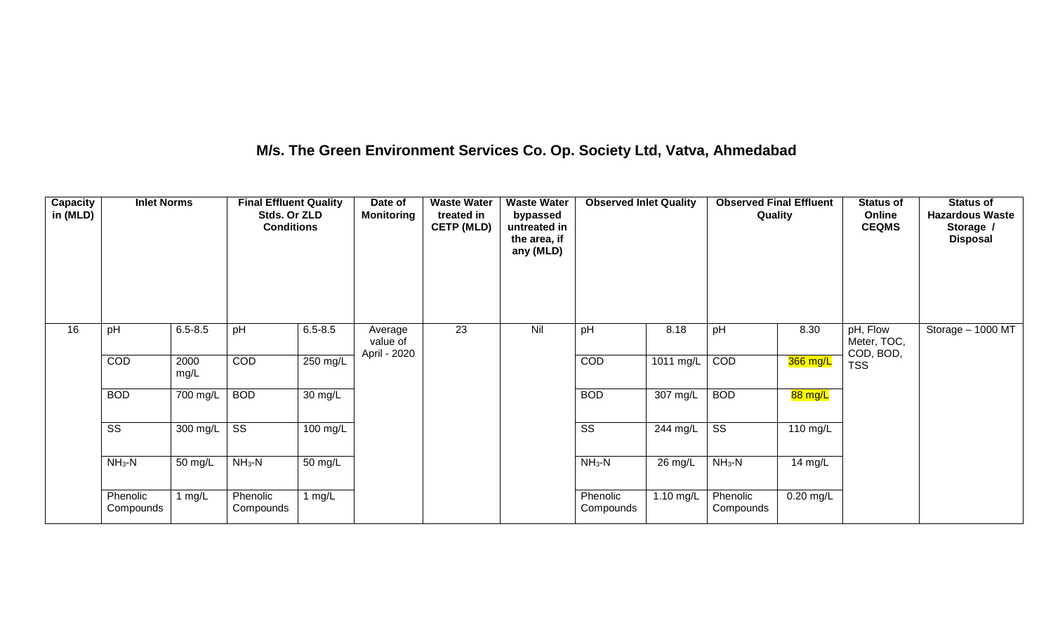## **M/s. The Green Environment Services Co. Op. Society Ltd, Vatva, Ahmedabad**

| Capacity<br>in (MLD) | <b>Inlet Norms</b>     |              | <b>Final Effluent Quality</b><br>Stds. Or ZLD<br><b>Conditions</b> |                      | Date of<br><b>Monitoring</b>        | <b>Waste Water</b><br>treated in<br><b>CETP (MLD)</b> | <b>Waste Water</b><br>bypassed<br>untreated in<br>the area, if<br>any (MLD) | <b>Observed Inlet Quality</b> |                    | <b>Observed Final Effluent</b><br>Quality |             | <b>Status of</b><br>Online<br><b>CEQMS</b> | <b>Status of</b><br><b>Hazardous Waste</b><br>Storage /<br><b>Disposal</b> |
|----------------------|------------------------|--------------|--------------------------------------------------------------------|----------------------|-------------------------------------|-------------------------------------------------------|-----------------------------------------------------------------------------|-------------------------------|--------------------|-------------------------------------------|-------------|--------------------------------------------|----------------------------------------------------------------------------|
| 16                   | pH                     | $6.5 - 8.5$  | pH                                                                 | $6.5 - 8.5$          | Average<br>value of<br>April - 2020 | 23                                                    | Nil                                                                         | pH                            | 8.18               | pH                                        | 8.30        | pH, Flow<br>Meter, TOC,<br>COD, BOD,       | Storage $-$ 1000 MT                                                        |
|                      | COD                    | 2000<br>mg/L | COD                                                                | 250 mg/L             |                                     |                                                       |                                                                             | COD                           | 1011 mg/L          | COD                                       | 366 mg/L    | <b>TSS</b>                                 |                                                                            |
|                      | <b>BOD</b>             | $700$ mg/L   | <b>BOD</b>                                                         | $\overline{30}$ mg/L |                                     |                                                       |                                                                             | <b>BOD</b>                    | $307 \text{ mg/L}$ | <b>BOD</b>                                | 88 mg/L     |                                            |                                                                            |
|                      | $\overline{\text{ss}}$ | $300$ mg/L   | $\overline{\text{ss}}$                                             | 100 mg/L             |                                     |                                                       |                                                                             | $\overline{\text{ss}}$        | 244 mg/L           | $\overline{\text{ss}}$                    | 110 mg/L    |                                            |                                                                            |
|                      | $NH3-N$                | 50 mg/L      | $NH3-N$                                                            | 50 mg/L              |                                     |                                                       |                                                                             | $NH_3-N$                      | 26 mg/L            | $NH3-N$                                   | 14 mg/L     |                                            |                                                                            |
|                      | Phenolic<br>Compounds  | 1 $mg/L$     | Phenolic<br>Compounds                                              | 1 $mg/L$             |                                     |                                                       |                                                                             | Phenolic<br>Compounds         | 1.10 mg/L          | Phenolic<br>Compounds                     | $0.20$ mg/L |                                            |                                                                            |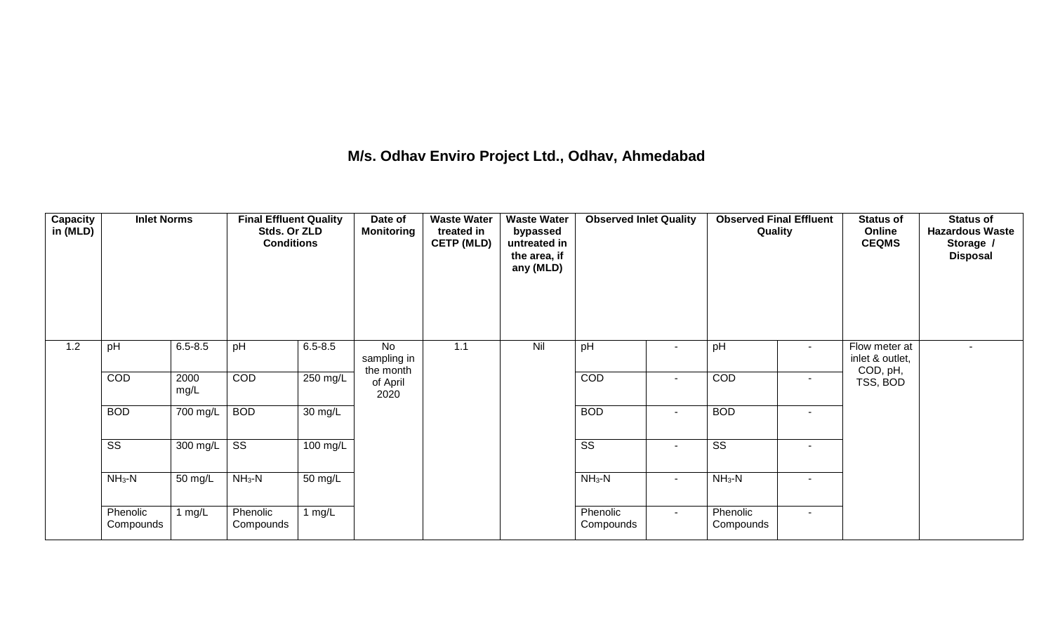## **M/s. Odhav Enviro Project Ltd., Odhav, Ahmedabad**

| Capacity<br>in (MLD) | <b>Inlet Norms</b>     |                  | <b>Final Effluent Quality</b><br>Stds. Or ZLD<br><b>Conditions</b> |                      | Date of<br><b>Monitoring</b>          | <b>Waste Water</b><br>treated in<br><b>CETP (MLD)</b> | <b>Waste Water</b><br>bypassed<br>untreated in<br>the area, if<br>any (MLD) | <b>Observed Inlet Quality</b> |                          | <b>Observed Final Effluent</b><br>Quality |                          | <b>Status of</b><br>Online<br><b>CEQMS</b>   | <b>Status of</b><br><b>Hazardous Waste</b><br>Storage /<br><b>Disposal</b> |
|----------------------|------------------------|------------------|--------------------------------------------------------------------|----------------------|---------------------------------------|-------------------------------------------------------|-----------------------------------------------------------------------------|-------------------------------|--------------------------|-------------------------------------------|--------------------------|----------------------------------------------|----------------------------------------------------------------------------|
| 1.2                  | pH                     | $6.5 - 8.5$      | pH                                                                 | $6.5 - 8.5$          | <b>No</b><br>sampling in<br>the month | 1.1                                                   | Nil                                                                         | pH                            | $\sim$                   | pH                                        | $\sim$                   | Flow meter at<br>inlet & outlet,<br>COD, pH, | $\blacksquare$                                                             |
|                      | COD                    | 2000<br>mg/L     | COD                                                                | 250 mg/L             | of April<br>2020                      |                                                       |                                                                             | COD                           | $\overline{\phantom{a}}$ | COD                                       | $\overline{\phantom{a}}$ | TSS, BOD                                     |                                                                            |
|                      | <b>BOD</b>             | 700 mg/L         | <b>BOD</b>                                                         | 30 mg/L              |                                       |                                                       |                                                                             | <b>BOD</b>                    | $\sim$                   | <b>BOD</b>                                | $\overline{\phantom{a}}$ |                                              |                                                                            |
|                      | $\overline{\text{ss}}$ | 300 mg/L $\vert$ | $\overline{\text{ss}}$                                             | $100 \text{ mg/L}$   |                                       |                                                       |                                                                             | $\overline{\text{ss}}$        | $\sim$                   | $\overline{\text{ss}}$                    | $\overline{\phantom{a}}$ |                                              |                                                                            |
|                      | $NH3-N$                | 50 mg/L          | $NH3-N$                                                            | $\overline{50}$ mg/L |                                       |                                                       |                                                                             | $NH3-N$                       | $\sim$                   | $NH3-N$                                   | $\overline{\phantom{a}}$ |                                              |                                                                            |
|                      | Phenolic<br>Compounds  | 1 $mg/L$         | Phenolic<br>Compounds                                              | 1 $mg/L$             |                                       |                                                       |                                                                             | Phenolic<br>Compounds         | $\sim$                   | Phenolic<br>Compounds                     | $\overline{\phantom{a}}$ |                                              |                                                                            |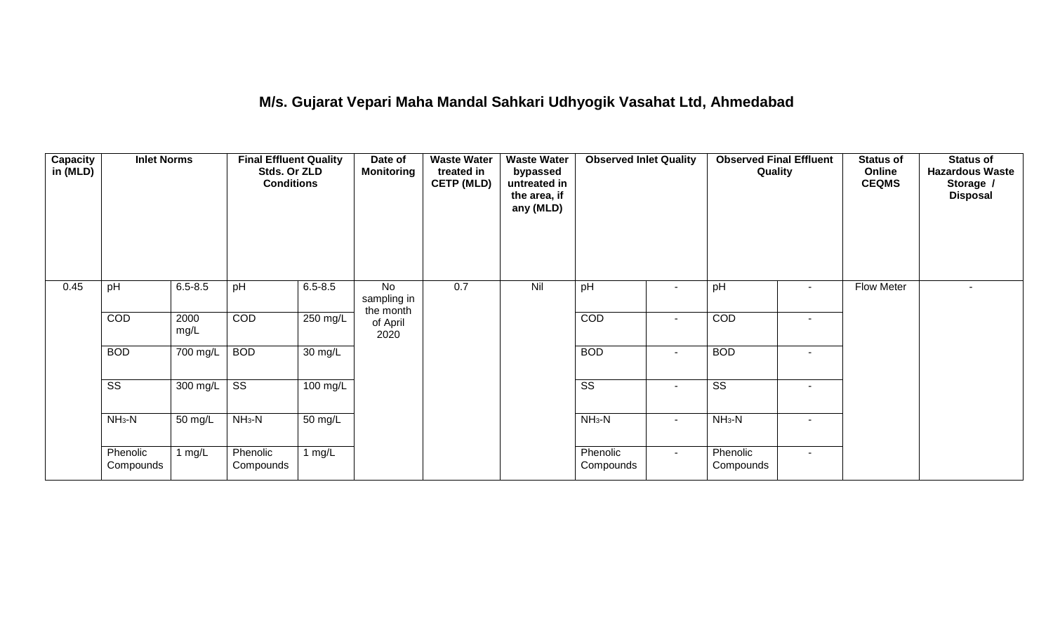## **M/s. Gujarat Vepari Maha Mandal Sahkari Udhyogik Vasahat Ltd, Ahmedabad**

| Capacity<br>in (MLD) | <b>Inlet Norms</b>     |              | <b>Final Effluent Quality</b><br>Stds. Or ZLD<br><b>Conditions</b> |                      | Date of<br><b>Monitoring</b>   | <b>Waste Water</b><br>treated in<br><b>CETP (MLD)</b> | <b>Waste Water</b><br>bypassed<br>untreated in<br>the area, if<br>any (MLD) | <b>Observed Inlet Quality</b>    |                | <b>Observed Final Effluent</b><br>Quality | <b>Status of</b><br>Online<br><b>CEQMS</b> | <b>Status of</b><br><b>Hazardous Waste</b><br>Storage /<br><b>Disposal</b> |
|----------------------|------------------------|--------------|--------------------------------------------------------------------|----------------------|--------------------------------|-------------------------------------------------------|-----------------------------------------------------------------------------|----------------------------------|----------------|-------------------------------------------|--------------------------------------------|----------------------------------------------------------------------------|
| 0.45                 | pH                     | $6.5 - 8.5$  | pH                                                                 | $6.5 - 8.5$          | No<br>sampling in<br>the month | 0.7                                                   | Nil                                                                         | pH<br>$\sim$                     |                | pH<br>$\sim$                              | Flow Meter                                 | $\overline{\phantom{a}}$                                                   |
|                      | COD                    | 2000<br>mg/L | COD                                                                | $250$ mg/L           | of April<br>2020               |                                                       |                                                                             | COD                              | $\blacksquare$ | COD<br>$\sim$                             |                                            |                                                                            |
|                      | <b>BOD</b>             | 700 mg/L     | <b>BOD</b>                                                         | $30 \text{ mg/L}$    |                                |                                                       |                                                                             | <b>BOD</b><br>$\blacksquare$     |                | <b>BOD</b>                                |                                            |                                                                            |
|                      | $\overline{\text{ss}}$ | 300 mg/L     | $\overline{\text{ss}}$                                             | $100$ mg/L           |                                |                                                       |                                                                             | $\overline{\text{ss}}$<br>$\sim$ |                | $\overline{\text{ss}}$<br>$\sim$          |                                            |                                                                            |
|                      | $NH3-N$                | 50 mg/L      | $NH3-N$                                                            | $\overline{50}$ mg/L |                                |                                                       |                                                                             | $NH_3-N$<br>$\blacksquare$       |                | $NH3-N$<br>$\sim$                         |                                            |                                                                            |
|                      | Phenolic<br>Compounds  | l mg/L       | Phenolic<br>Compounds                                              | 1 $mg/L$             |                                |                                                       |                                                                             | Phenolic<br>Compounds            | $\sim$         | Phenolic<br>$\sim$<br>Compounds           |                                            |                                                                            |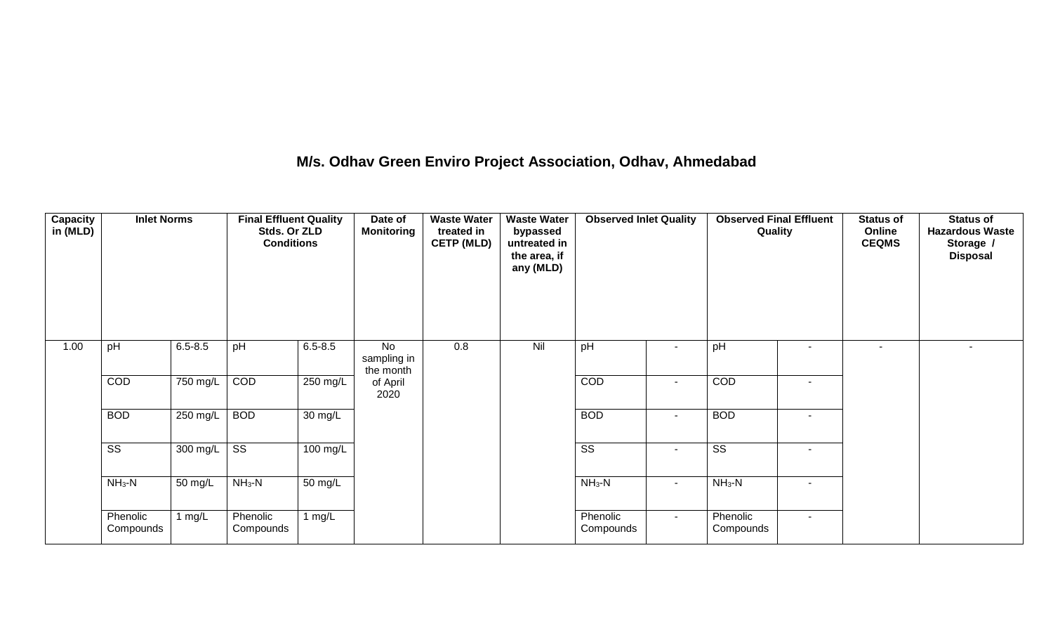## **M/s. Odhav Green Enviro Project Association, Odhav, Ahmedabad**

| Capacity<br>in (MLD) | <b>Inlet Norms</b>    |             | <b>Final Effluent Quality</b><br>Stds. Or ZLD<br><b>Conditions</b> |                      | Date of<br><b>Monitoring</b>          | <b>Waste Water</b><br>treated in<br><b>CETP (MLD)</b> | <b>Waste Water</b><br>bypassed<br>untreated in<br>the area, if<br>any (MLD) | <b>Observed Inlet Quality</b> |                          | <b>Observed Final Effluent</b><br>Quality |                          | <b>Status of</b><br>Online<br><b>CEQMS</b> | <b>Status of</b><br><b>Hazardous Waste</b><br>Storage /<br><b>Disposal</b> |
|----------------------|-----------------------|-------------|--------------------------------------------------------------------|----------------------|---------------------------------------|-------------------------------------------------------|-----------------------------------------------------------------------------|-------------------------------|--------------------------|-------------------------------------------|--------------------------|--------------------------------------------|----------------------------------------------------------------------------|
| 1.00                 | pH                    | $6.5 - 8.5$ | pH                                                                 | $6.5 - 8.5$          | <b>No</b><br>sampling in<br>the month | 0.8                                                   | Nil                                                                         | pH                            | $\overline{\phantom{a}}$ | pH                                        |                          |                                            |                                                                            |
|                      | COD                   | 750 mg/L    | COD                                                                | 250 mg/L             | of April<br>2020                      |                                                       |                                                                             | COD                           | $\sim$                   | COD                                       | $\overline{\phantom{a}}$ |                                            |                                                                            |
|                      | <b>BOD</b>            | 250 mg/L    | <b>BOD</b>                                                         | 30 mg/L              |                                       |                                                       |                                                                             | <b>BOD</b>                    | $\overline{\phantom{a}}$ | <b>BOD</b>                                | ٠                        |                                            |                                                                            |
|                      | SS                    | 300 mg/L    | SS                                                                 | 100 mg/L             |                                       |                                                       |                                                                             | SS                            | $\sim$                   | SS                                        | $\overline{\phantom{a}}$ |                                            |                                                                            |
|                      | $NH_3-N$              | 50 mg/L     | $NH_3-N$                                                           | $\overline{50}$ mg/L |                                       |                                                       |                                                                             | $NH_3-N$                      | $\sim$                   | $NH3-N$                                   | $\blacksquare$           |                                            |                                                                            |
|                      | Phenolic<br>Compounds | 1 $mg/L$    | Phenolic<br>Compounds                                              | 1 $mg/L$             |                                       |                                                       |                                                                             | Phenolic<br>Compounds         | $\sim$                   | Phenolic<br>Compounds                     | $\overline{\phantom{a}}$ |                                            |                                                                            |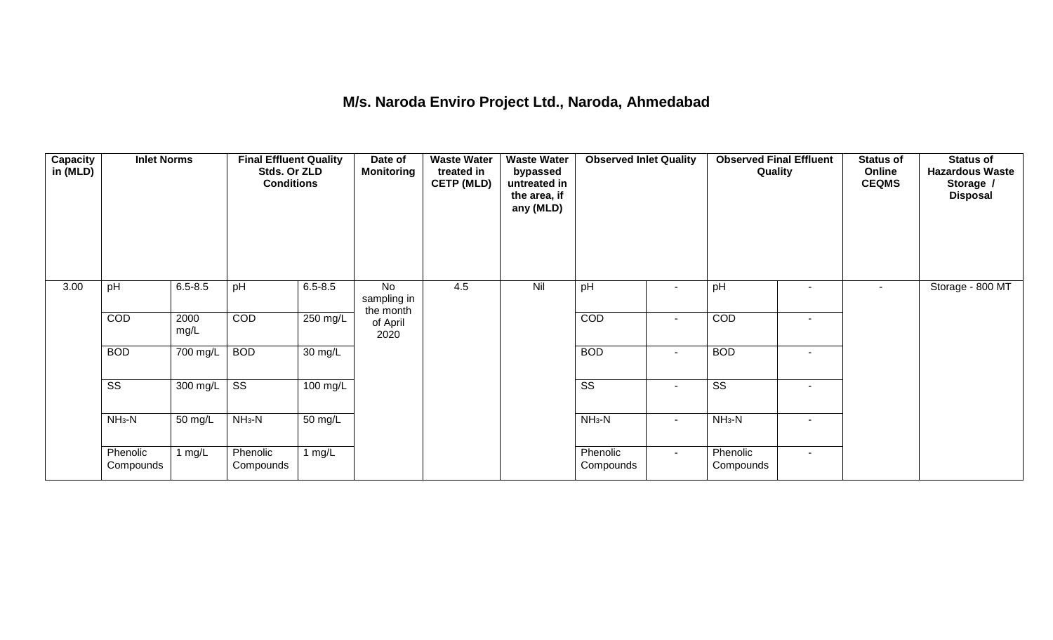## **M/s. Naroda Enviro Project Ltd., Naroda, Ahmedabad**

| <b>Capacity</b><br>in (MLD) | <b>Inlet Norms</b>     |                       | <b>Final Effluent Quality</b><br>Stds. Or ZLD<br><b>Conditions</b> |                      | Date of<br><b>Monitoring</b>   | <b>Waste Water</b><br>treated in<br><b>CETP (MLD)</b> | <b>Waste Water</b><br>bypassed<br>untreated in<br>the area, if<br>any (MLD) | <b>Observed Inlet Quality</b> |                | <b>Observed Final Effluent</b><br>Quality |                          | <b>Status of</b><br>Online<br><b>CEQMS</b> | <b>Status of</b><br><b>Hazardous Waste</b><br>Storage /<br><b>Disposal</b> |
|-----------------------------|------------------------|-----------------------|--------------------------------------------------------------------|----------------------|--------------------------------|-------------------------------------------------------|-----------------------------------------------------------------------------|-------------------------------|----------------|-------------------------------------------|--------------------------|--------------------------------------------|----------------------------------------------------------------------------|
| 3.00                        | pH                     | $6.5 - 8.5$           | pH                                                                 | $6.5 - 8.5$          | No<br>sampling in<br>the month | 4.5                                                   | Nil                                                                         | pH                            |                | pH                                        | $\overline{\phantom{a}}$ | $\sim$                                     | Storage - 800 MT                                                           |
|                             | COD                    | 2000<br>mg/L          | COD                                                                | 250 mg/L             | of April<br>2020               |                                                       |                                                                             | COD                           | $\blacksquare$ | COD                                       | $\blacksquare$           |                                            |                                                                            |
|                             | <b>BOD</b>             | $\overline{700}$ mg/L | <b>BOD</b>                                                         | 30 mg/L              |                                |                                                       |                                                                             | <b>BOD</b>                    | $\blacksquare$ | <b>BOD</b>                                | $\blacksquare$           |                                            |                                                                            |
|                             | $\overline{\text{ss}}$ | 300 mg/L $\vert$      | $\overline{\text{ss}}$                                             | $100 \text{ mg/L}$   |                                |                                                       |                                                                             | $\overline{\text{ss}}$        | $\blacksquare$ | $\overline{\text{ss}}$                    | $\overline{\phantom{a}}$ |                                            |                                                                            |
|                             | $NH3-N$                | 50 mg/L               | $NH3-N$                                                            | $\overline{50}$ mg/L |                                |                                                       |                                                                             | $NH_3-N$                      | $\blacksquare$ | $NH3-N$                                   | $\overline{\phantom{a}}$ |                                            |                                                                            |
|                             | Phenolic<br>Compounds  | 1 $mg/L$              | Phenolic<br>Compounds                                              | 1 mg/L               |                                |                                                       |                                                                             | Phenolic<br>Compounds         | $\sim$         | Phenolic<br>Compounds                     | $\sim$                   |                                            |                                                                            |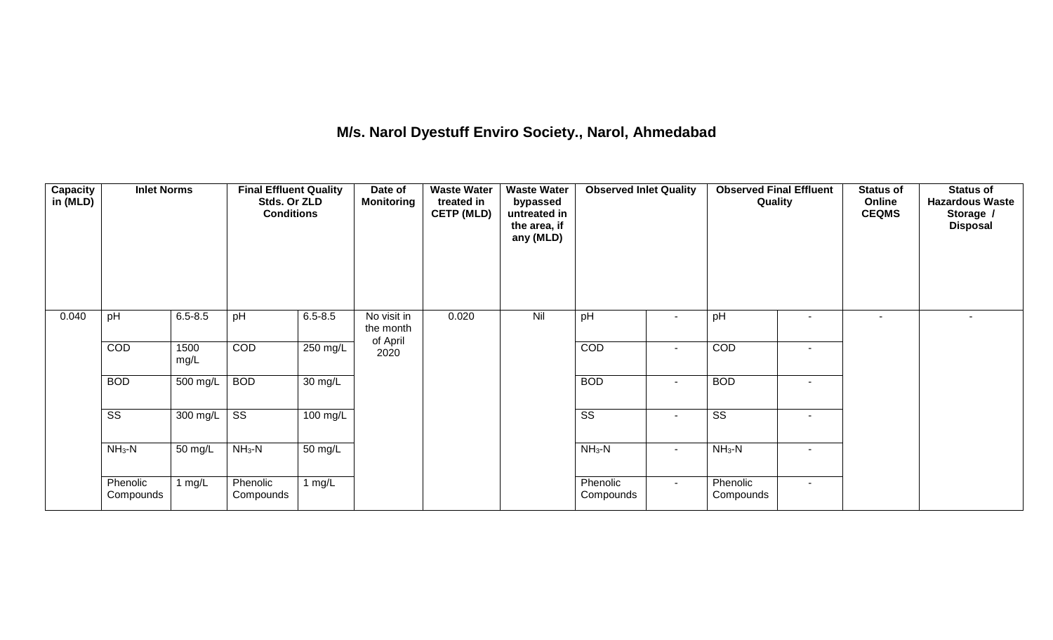## **M/s. Narol Dyestuff Enviro Society., Narol, Ahmedabad**

| <b>Capacity</b><br>in (MLD) | <b>Inlet Norms</b>     |              | <b>Final Effluent Quality</b><br>Stds. Or ZLD<br><b>Conditions</b> |                      | Date of<br><b>Monitoring</b>         | <b>Waste Water</b><br>treated in<br><b>CETP (MLD)</b> | <b>Waste Water</b><br>bypassed<br>untreated in<br>the area, if<br>any (MLD) | <b>Observed Inlet Quality</b> |        | <b>Observed Final Effluent</b><br>Quality |                          | <b>Status of</b><br>Online<br><b>CEQMS</b> | <b>Status of</b><br><b>Hazardous Waste</b><br>Storage /<br><b>Disposal</b> |
|-----------------------------|------------------------|--------------|--------------------------------------------------------------------|----------------------|--------------------------------------|-------------------------------------------------------|-----------------------------------------------------------------------------|-------------------------------|--------|-------------------------------------------|--------------------------|--------------------------------------------|----------------------------------------------------------------------------|
| 0.040                       | pH                     | $6.5 - 8.5$  | pH                                                                 | $6.5 - 8.5$          | No visit in<br>the month<br>of April | 0.020                                                 | Nil                                                                         | pH                            |        | pH                                        |                          | $\sim$                                     |                                                                            |
|                             | COD                    | 1500<br>mg/L | COD                                                                | $250$ mg/L           | 2020                                 |                                                       |                                                                             | COD                           | $\sim$ | COD                                       | $\overline{\phantom{a}}$ |                                            |                                                                            |
|                             | <b>BOD</b>             | 500 mg/L     | <b>BOD</b>                                                         | $30 \text{ mg/L}$    |                                      |                                                       |                                                                             | <b>BOD</b>                    | $\sim$ | <b>BOD</b>                                | $\sim$                   |                                            |                                                                            |
|                             | $\overline{\text{ss}}$ | 300 mg/L SS  |                                                                    | 100 mg/L             |                                      |                                                       |                                                                             | $\overline{\text{SS}}$        | $\sim$ | $\overline{\text{SS}}$                    | $\sim$                   |                                            |                                                                            |
|                             | $NH3-N$                | 50 mg/L      | $NH3-N$                                                            | $\overline{50}$ mg/L |                                      |                                                       |                                                                             | $NH_3-N$                      | $\sim$ | $NH3-N$                                   | $\sim$                   |                                            |                                                                            |
|                             | Phenolic<br>Compounds  | l mg/L       | Phenolic<br>Compounds                                              | 1 $mg/L$             |                                      |                                                       |                                                                             | Phenolic<br>Compounds         | $\sim$ | Phenolic<br>Compounds                     | $\sim$                   |                                            |                                                                            |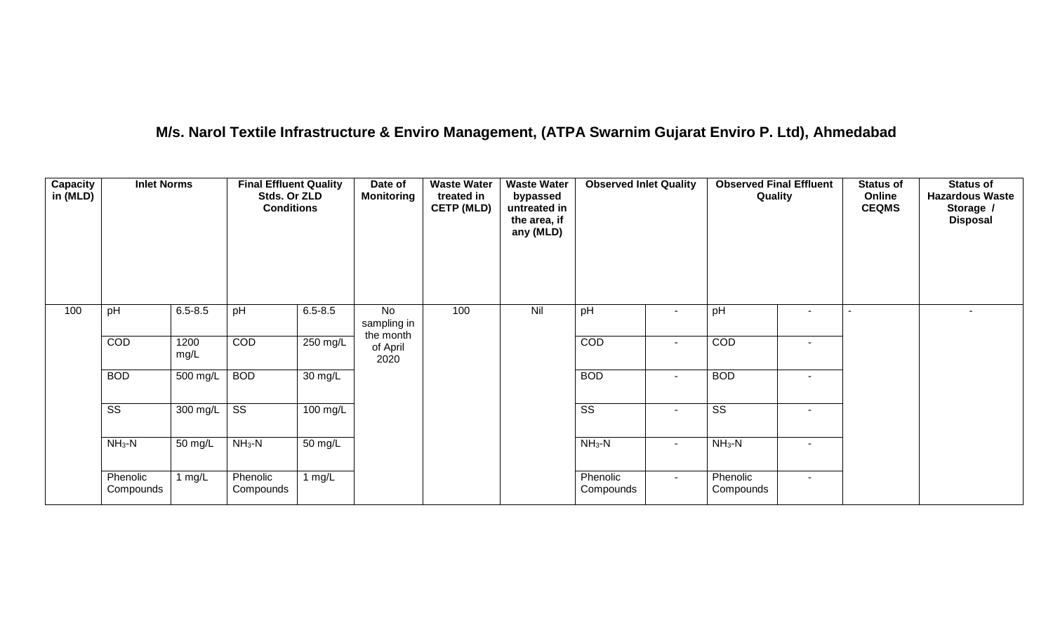## **M/s. Narol Textile Infrastructure & Enviro Management, (ATPA Swarnim Gujarat Enviro P. Ltd), Ahmedabad**

| <b>Capacity</b><br>in (MLD) | <b>Inlet Norms</b>     |                    | <b>Final Effluent Quality</b><br>Stds. Or ZLD<br><b>Conditions</b> |                    | Date of<br><b>Monitoring</b>   | <b>Waste Water</b><br>treated in<br><b>CETP (MLD)</b> | <b>Waste Water</b><br>bypassed<br>untreated in<br>the area, if<br>any (MLD) | <b>Observed Inlet Quality</b> |                          | <b>Observed Final Effluent</b><br>Quality |                          | <b>Status of</b><br>Online<br><b>CEQMS</b> | <b>Status of</b><br><b>Hazardous Waste</b><br>Storage /<br><b>Disposal</b> |
|-----------------------------|------------------------|--------------------|--------------------------------------------------------------------|--------------------|--------------------------------|-------------------------------------------------------|-----------------------------------------------------------------------------|-------------------------------|--------------------------|-------------------------------------------|--------------------------|--------------------------------------------|----------------------------------------------------------------------------|
| 100                         | pH                     | $6.5 - 8.5$        | pH                                                                 | $6.5 - 8.5$        | No<br>sampling in<br>the month | 100                                                   | Nil                                                                         | pH                            |                          | pH                                        | $\overline{\phantom{0}}$ |                                            |                                                                            |
|                             | COD                    | 1200<br>mg/L       | COD                                                                | 250 mg/L           | of April<br>2020               |                                                       |                                                                             | COD                           | $\overline{\phantom{a}}$ | COD                                       |                          |                                            |                                                                            |
|                             | <b>BOD</b>             | 500 mg/L           | <b>BOD</b>                                                         | 30 mg/L            |                                |                                                       |                                                                             | <b>BOD</b>                    | $\sim$                   | <b>BOD</b>                                | $\blacksquare$           |                                            |                                                                            |
|                             | $\overline{\text{ss}}$ | $300 \text{ mg/L}$ | $\overline{\text{ss}}$                                             | $100 \text{ mg/L}$ |                                |                                                       |                                                                             | $\overline{\text{ss}}$        | $\sim$                   | $\overline{\text{ss}}$                    | $\blacksquare$           |                                            |                                                                            |
|                             | $NH3-N$                | 50 mg/L            | $NH3-N$                                                            | 50 mg/L            |                                |                                                       |                                                                             | $NH_3-N$                      | $\sim$                   | $NH_3-N$                                  |                          |                                            |                                                                            |
|                             | Phenolic<br>Compounds  | 1 $mg/L$           | Phenolic<br>Compounds                                              | 1 $mg/L$           |                                |                                                       |                                                                             | Phenolic<br>Compounds         | $\sim$                   | Phenolic<br>Compounds                     | $\blacksquare$           |                                            |                                                                            |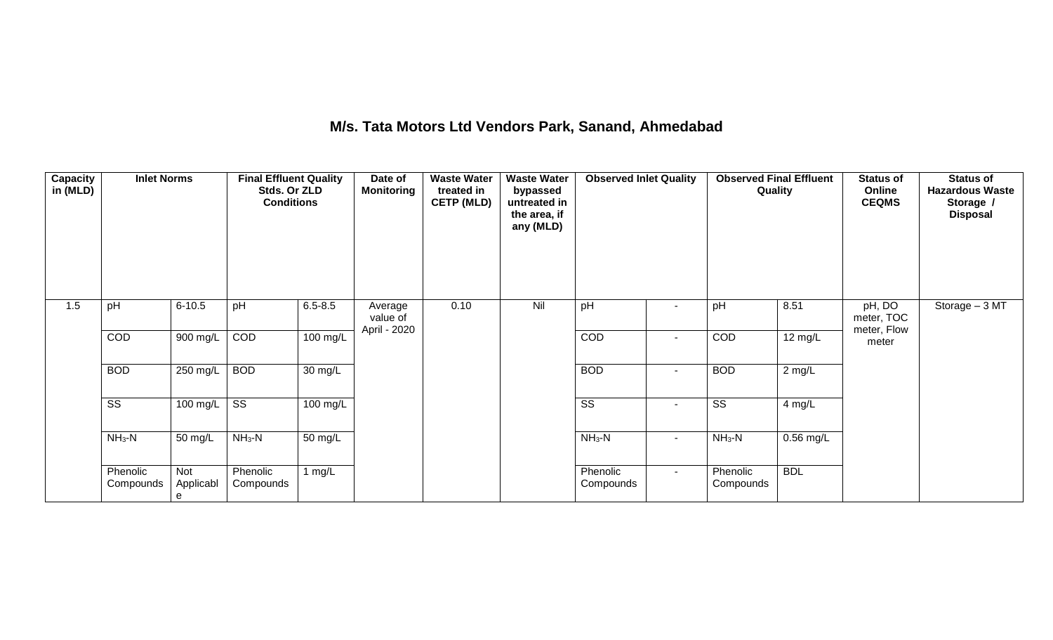## **M/s. Tata Motors Ltd Vendors Park, Sanand, Ahmedabad**

| Capacity<br>in (MLD) | <b>Inlet Norms</b>     |                       | <b>Final Effluent Quality</b><br>Stds. Or ZLD<br><b>Conditions</b> |                      | Date of<br><b>Monitoring</b>        | <b>Waste Water</b><br>treated in<br><b>CETP (MLD)</b> | <b>Waste Water</b><br>bypassed<br>untreated in<br>the area, if<br>any (MLD) | <b>Observed Inlet Quality</b> |        | <b>Observed Final Effluent</b><br>Quality |                     | <b>Status of</b><br>Online<br><b>CEQMS</b> | <b>Status of</b><br><b>Hazardous Waste</b><br>Storage /<br><b>Disposal</b> |
|----------------------|------------------------|-----------------------|--------------------------------------------------------------------|----------------------|-------------------------------------|-------------------------------------------------------|-----------------------------------------------------------------------------|-------------------------------|--------|-------------------------------------------|---------------------|--------------------------------------------|----------------------------------------------------------------------------|
| 1.5                  | pH                     | $6 - 10.5$            | pH                                                                 | $6.5 - 8.5$          | Average<br>value of<br>April - 2020 | 0.10                                                  | Nil                                                                         | pH                            | $\sim$ | pH                                        | 8.51                | pH, DO<br>meter, TOC<br>meter, Flow        | Storage - 3 MT                                                             |
|                      | COD                    | $900$ mg/L            | COD                                                                | $100$ mg/L           |                                     |                                                       |                                                                             | COD                           | $\sim$ | COD                                       | $12 \text{ mg/L}$   | meter                                      |                                                                            |
|                      | <b>BOD</b>             | $250$ mg/L            | <b>BOD</b>                                                         | $\overline{30}$ mg/L |                                     |                                                       |                                                                             | <b>BOD</b>                    | $\sim$ | <b>BOD</b>                                | $\overline{2}$ mg/L |                                            |                                                                            |
|                      | $\overline{\text{SS}}$ | 100 mg/L              | $\overline{\text{ss}}$                                             | $100 \text{ mg/L}$   |                                     |                                                       |                                                                             | $\overline{\text{SS}}$        | $\sim$ | $\overline{\text{SS}}$                    | 4 mg/L              |                                            |                                                                            |
|                      | $NH3-N$                | 50 mg/L               | $NH3-N$                                                            | 50 mg/L              |                                     |                                                       |                                                                             | $NH3-N$                       | $\sim$ | $NH_3-N$                                  | $0.56$ mg/L         |                                            |                                                                            |
|                      | Phenolic<br>Compounds  | Not<br>Applicabl<br>e | Phenolic<br>Compounds                                              | 1 $mg/L$             |                                     |                                                       |                                                                             | Phenolic<br>Compounds         | $\sim$ | Phenolic<br>Compounds                     | <b>BDL</b>          |                                            |                                                                            |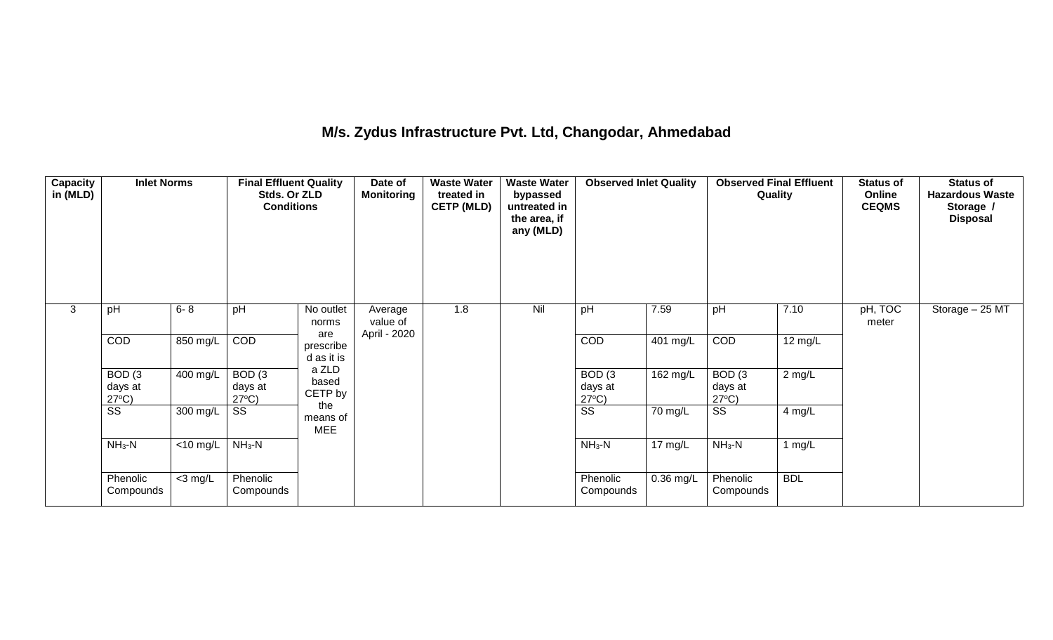## **M/s. Zydus Infrastructure Pvt. Ltd, Changodar, Ahmedabad**

| Capacity<br>in (MLD) | <b>Inlet Norms</b>                              |                               | <b>Final Effluent Quality</b><br>Stds. Or ZLD<br><b>Conditions</b> |                                | Date of<br><b>Monitoring</b>        | <b>Waste Water</b><br>treated in<br><b>CETP (MLD)</b> | <b>Waste Water</b><br>bypassed<br>untreated in<br>the area, if<br>any (MLD) | <b>Observed Inlet Quality</b>                   |                   | <b>Observed Final Effluent</b><br>Quality |                   | <b>Status of</b><br>Online<br><b>CEQMS</b> | <b>Status of</b><br><b>Hazardous Waste</b><br>Storage /<br><b>Disposal</b> |
|----------------------|-------------------------------------------------|-------------------------------|--------------------------------------------------------------------|--------------------------------|-------------------------------------|-------------------------------------------------------|-----------------------------------------------------------------------------|-------------------------------------------------|-------------------|-------------------------------------------|-------------------|--------------------------------------------|----------------------------------------------------------------------------|
| 3                    | pH                                              | $6 - 8$                       | pH                                                                 | No outlet<br>norms             | Average<br>value of<br>April - 2020 | 1.8                                                   | Nil                                                                         | pH                                              | 7.59              | pH                                        | 7.10              | pH, TOC<br>meter                           | Storage - 25 MT                                                            |
|                      | COD                                             | 850 mg/L                      | COD                                                                | are<br>prescribe<br>d as it is |                                     |                                                       |                                                                             | <b>COD</b>                                      | 401 mg/L          | COD                                       | $12 \text{ mg/L}$ |                                            |                                                                            |
|                      | BOD <sub>(3</sub><br>days at<br>$27^{\circ}C$ ) | 400 mg/L                      | BOD <sub>(3</sub><br>days at<br>$27^{\circ}C$ )                    | a ZLD<br>based<br>CETP by      |                                     |                                                       |                                                                             | BOD <sub>(3</sub><br>days at<br>$27^{\circ}C$ ) | 162 mg/L          | BOD(3)<br>days at<br>$27^{\circ}C$ )      | 2 mg/L            |                                            |                                                                            |
|                      | SS                                              | 300 mg/L                      | SS                                                                 | the<br>means of<br><b>MEE</b>  |                                     |                                                       |                                                                             | $\overline{\text{SS}}$                          | 70 mg/L           | SS                                        | 4 mg/L            |                                            |                                                                            |
|                      | $NH3-N$                                         | $\overline{<}10 \text{ mg/L}$ | $NH3-N$                                                            |                                |                                     |                                                       |                                                                             | $NH3-N$                                         | $17 \text{ mg/L}$ | $NH3-N$                                   | $1$ mg/L          |                                            |                                                                            |
|                      | Phenolic<br>Compounds                           | $<$ 3 mg/L                    | Phenolic<br>Compounds                                              |                                |                                     |                                                       |                                                                             | Phenolic<br>Compounds                           | $0.36$ mg/L       | Phenolic<br>Compounds                     | <b>BDL</b>        |                                            |                                                                            |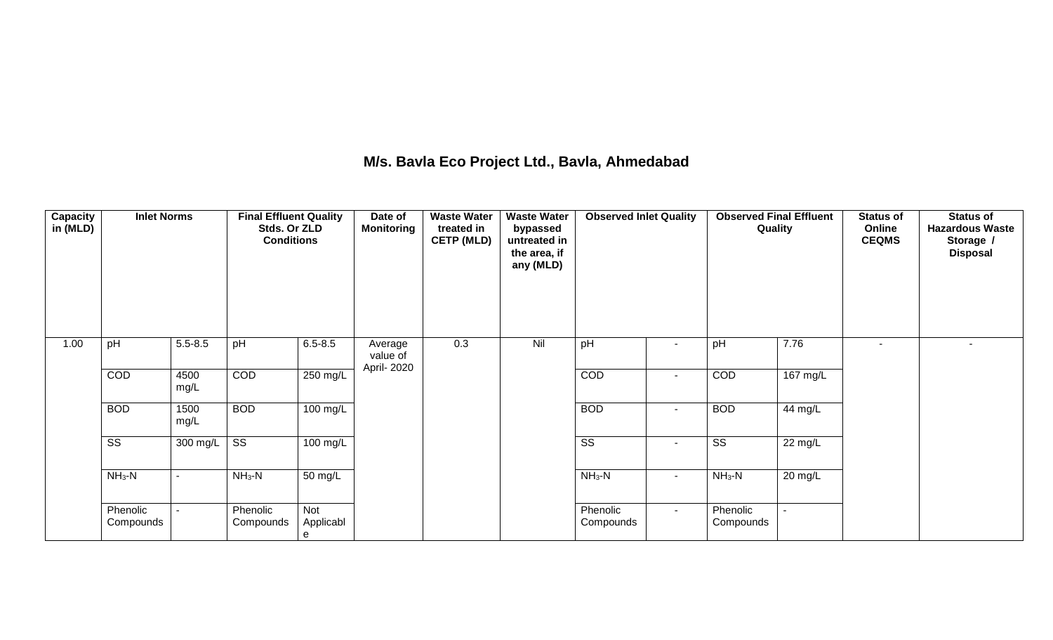## **M/s. Bavla Eco Project Ltd., Bavla, Ahmedabad**

| Capacity<br>in (MLD) | <b>Inlet Norms</b>     |                          | <b>Final Effluent Quality</b><br>Stds. Or ZLD<br><b>Conditions</b> |                              | Date of<br><b>Monitoring</b> | <b>Waste Water</b><br>treated in<br><b>CETP (MLD)</b> | <b>Waste Water</b><br>bypassed<br>untreated in<br>the area, if<br>any (MLD) | <b>Observed Inlet Quality</b> |        | <b>Observed Final Effluent</b><br>Quality |                    | <b>Status of</b><br>Online<br><b>CEQMS</b> | <b>Status of</b><br><b>Hazardous Waste</b><br>Storage /<br><b>Disposal</b> |
|----------------------|------------------------|--------------------------|--------------------------------------------------------------------|------------------------------|------------------------------|-------------------------------------------------------|-----------------------------------------------------------------------------|-------------------------------|--------|-------------------------------------------|--------------------|--------------------------------------------|----------------------------------------------------------------------------|
| 1.00                 | pH                     | $5.5 - 8.5$              | pH                                                                 | $6.5 - 8.5$                  | Average<br>value of          | 0.3                                                   | Nil                                                                         | pH                            | $\sim$ | pH                                        | 7.76               | $\overline{a}$                             | $\overline{\phantom{a}}$                                                   |
|                      | COD                    | 4500<br>mg/L             | COD                                                                | 250 mg/L                     | April- 2020                  |                                                       |                                                                             | COD                           | $\sim$ | COD                                       | $167 \text{ mg/L}$ |                                            |                                                                            |
|                      | <b>BOD</b>             | 1500<br>mg/L             | <b>BOD</b>                                                         | 100 mg/L                     |                              |                                                       |                                                                             | <b>BOD</b>                    | $\sim$ | <b>BOD</b>                                | 44 mg/L            |                                            |                                                                            |
|                      | $\overline{\text{ss}}$ | 300 mg/L                 | $\overline{\text{ss}}$                                             | 100 mg/L                     |                              |                                                       |                                                                             | $\overline{\text{ss}}$        | $\sim$ | $\overline{\text{SS}}$                    | 22 mg/L            |                                            |                                                                            |
|                      | $NH3-N$                | $\overline{\phantom{0}}$ | $NH3-N$                                                            | 50 mg/L                      |                              |                                                       |                                                                             | $NH3-N$                       | $\sim$ | $NH3-N$                                   | 20 mg/L            |                                            |                                                                            |
|                      | Phenolic<br>Compounds  | $\sim$                   | Phenolic<br>Compounds                                              | <b>Not</b><br>Applicabl<br>e |                              |                                                       |                                                                             | Phenolic<br>Compounds         | $\sim$ | Phenolic<br>Compounds                     |                    |                                            |                                                                            |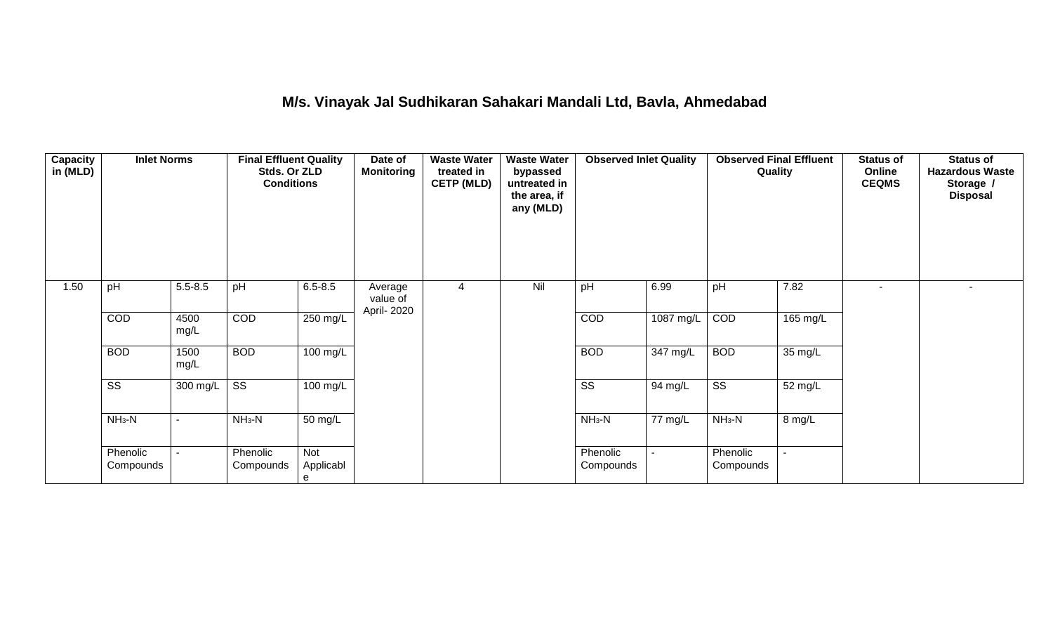## **M/s. Vinayak Jal Sudhikaran Sahakari Mandali Ltd, Bavla, Ahmedabad**

| Capacity<br>in (MLD) | <b>Inlet Norms</b>     |                | <b>Final Effluent Quality</b><br>Stds. Or ZLD<br><b>Conditions</b> |                       | Date of<br><b>Monitoring</b>       | <b>Waste Water</b><br>treated in<br><b>CETP (MLD)</b> | <b>Waste Water</b><br>bypassed<br>untreated in<br>the area, if<br>any (MLD) | <b>Observed Inlet Quality</b> |           | <b>Observed Final Effluent</b><br>Quality |          | <b>Status of</b><br>Online<br><b>CEQMS</b> | <b>Status of</b><br><b>Hazardous Waste</b><br>Storage /<br><b>Disposal</b> |
|----------------------|------------------------|----------------|--------------------------------------------------------------------|-----------------------|------------------------------------|-------------------------------------------------------|-----------------------------------------------------------------------------|-------------------------------|-----------|-------------------------------------------|----------|--------------------------------------------|----------------------------------------------------------------------------|
| 1.50                 | pH                     | $5.5 - 8.5$    | pH                                                                 | $6.5 - 8.5$           | Average<br>value of<br>April- 2020 | 4                                                     | Nil                                                                         | pH                            | 6.99      | pH                                        | 7.82     |                                            | ۰                                                                          |
|                      | <b>COD</b>             | 4500<br>mg/L   | COD                                                                | 250 mg/L              |                                    |                                                       |                                                                             | COD                           | 1087 mg/L | COD                                       | 165 mg/L |                                            |                                                                            |
|                      | <b>BOD</b>             | 1500<br>mg/L   | <b>BOD</b>                                                         | 100 mg/L              |                                    |                                                       |                                                                             | <b>BOD</b>                    | 347 mg/L  | <b>BOD</b>                                | 35 mg/L  |                                            |                                                                            |
|                      | $\overline{\text{ss}}$ | 300 mg/L       | $\overline{\text{SS}}$                                             | 100 mg/L              |                                    |                                                       |                                                                             | $\overline{\text{SS}}$        | 94 mg/L   | $\overline{\text{ss}}$                    | 52 mg/L  |                                            |                                                                            |
|                      | $NH3-N$                | $\sim$         | $NH_3-N$                                                           | 50 mg/L               |                                    |                                                       |                                                                             | $NH_3-N$                      | 77 mg/L   | $NH3-N$                                   | 8 mg/L   |                                            |                                                                            |
|                      | Phenolic<br>Compounds  | $\blacksquare$ | Phenolic<br>Compounds                                              | Not<br>Applicabl<br>е |                                    |                                                       |                                                                             | Phenolic<br>Compounds         |           | Phenolic<br>Compounds                     |          |                                            |                                                                            |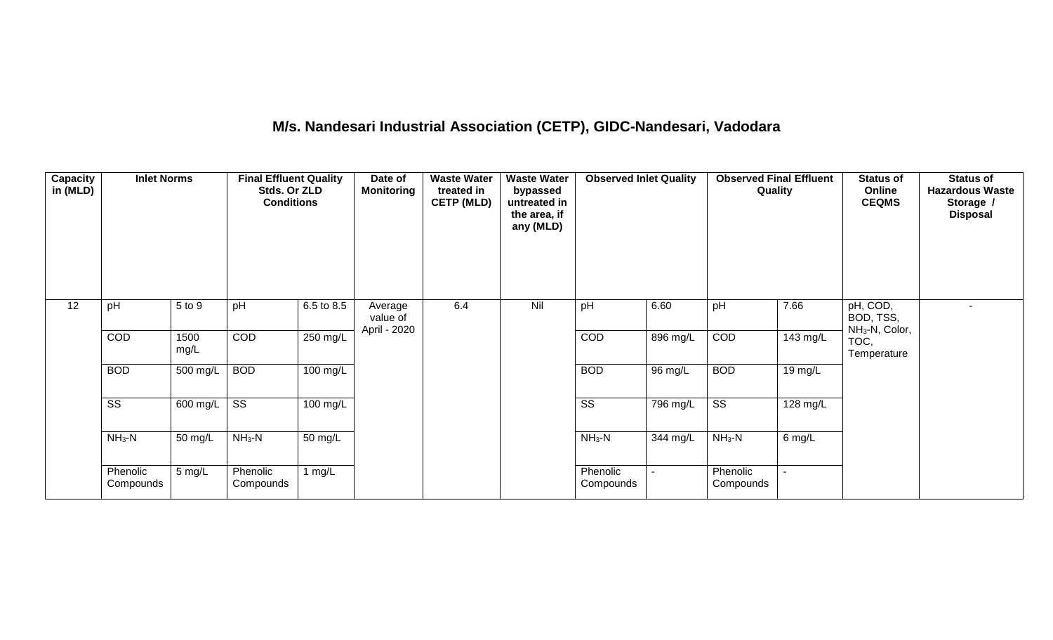# **M/s. Nandesari Industrial Association (CETP), GIDC-Nandesari, Vadodara**

| <b>Capacity</b><br>in (MLD) | <b>Inlet Norms</b>     |              | <b>Final Effluent Quality</b><br>Stds. Or ZLD<br><b>Conditions</b> |                       | Date of<br><b>Monitoring</b>        | <b>Waste Water</b><br>treated in<br><b>CETP (MLD)</b> | <b>Waste Water</b><br>bypassed<br>untreated in<br>the area, if<br>any (MLD) | <b>Observed Inlet Quality</b> |          | <b>Observed Final Effluent</b><br>Quality |          | <b>Status of</b><br>Online<br><b>CEQMS</b>          | <b>Status of</b><br><b>Hazardous Waste</b><br>Storage /<br><b>Disposal</b> |
|-----------------------------|------------------------|--------------|--------------------------------------------------------------------|-----------------------|-------------------------------------|-------------------------------------------------------|-----------------------------------------------------------------------------|-------------------------------|----------|-------------------------------------------|----------|-----------------------------------------------------|----------------------------------------------------------------------------|
| 12                          | pH                     | 5 to 9       | pH                                                                 | 6.5 to 8.5            | Average<br>value of<br>April - 2020 | 6.4                                                   | Nil                                                                         | pH                            | 6.60     | pH                                        | 7.66     | pH, COD,<br>BOD, TSS,<br>NH <sub>3</sub> -N, Color, |                                                                            |
|                             | COD                    | 1500<br>mg/L | COD                                                                | 250 mg/L              |                                     |                                                       |                                                                             | COD                           | 896 mg/L | COD                                       | 143 mg/L | TOC,<br>Temperature                                 |                                                                            |
|                             | <b>BOD</b>             | $500$ mg/L   | <b>BOD</b>                                                         | $100 \text{ mg/L}$    |                                     |                                                       |                                                                             | <b>BOD</b>                    | 96 mg/L  | <b>BOD</b>                                | 19 mg/L  |                                                     |                                                                            |
|                             | $\overline{\text{ss}}$ | 600 mg/L     | $\overline{\text{ss}}$                                             | $\overline{100}$ mg/L |                                     |                                                       |                                                                             | $\overline{\text{ss}}$        | 796 mg/L | $\overline{\text{ss}}$                    | 128 mg/L |                                                     |                                                                            |
|                             | $NH3-N$                | 50 mg/L      | $NH3-N$                                                            | 50 mg/L               |                                     |                                                       |                                                                             | $NH3-N$                       | 344 mg/L | $NH3-N$                                   | $6$ mg/L |                                                     |                                                                            |
|                             | Phenolic<br>Compounds  | 5 mg/L       | Phenolic<br>Compounds                                              | 1 $mg/L$              |                                     |                                                       |                                                                             | Phenolic<br>Compounds         |          | Phenolic<br>Compounds                     |          |                                                     |                                                                            |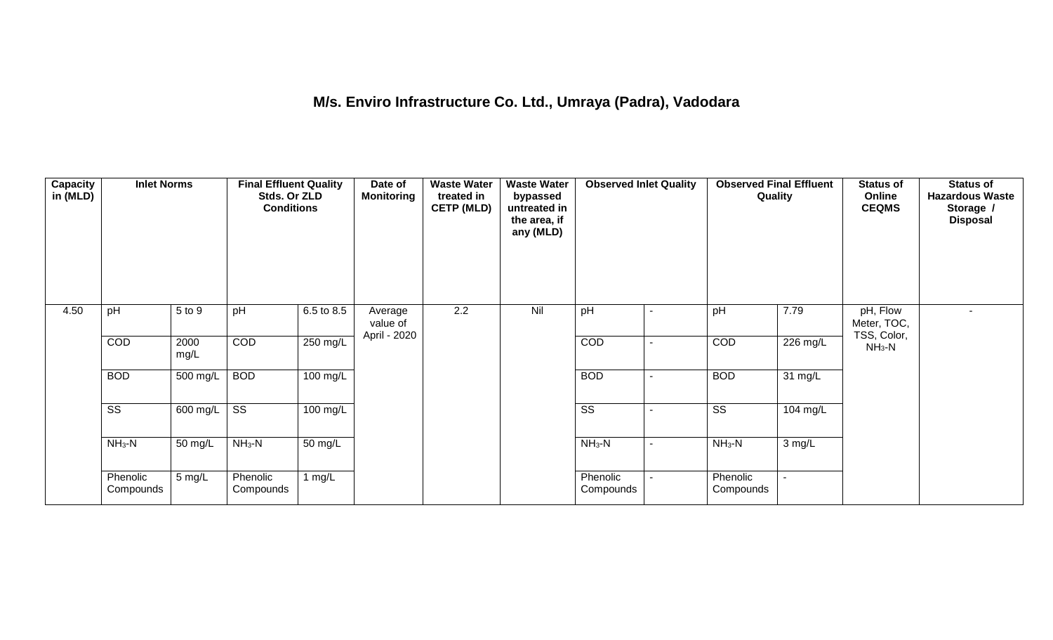## **M/s. Enviro Infrastructure Co. Ltd., Umraya (Padra), Vadodara**

| Capacity<br>in (MLD) | <b>Inlet Norms</b>     |                       | <b>Final Effluent Quality</b><br>Stds. Or ZLD<br><b>Conditions</b> |            | Date of<br><b>Monitoring</b>        | <b>Waste Water</b><br>treated in<br><b>CETP (MLD)</b> | <b>Waste Water</b><br>bypassed<br>untreated in<br>the area, if<br>any (MLD) | <b>Observed Inlet Quality</b> | <b>Observed Final Effluent</b><br>Quality |          | <b>Status of</b><br>Online<br><b>CEQMS</b> | <b>Status of</b><br><b>Hazardous Waste</b><br>Storage /<br><b>Disposal</b> |
|----------------------|------------------------|-----------------------|--------------------------------------------------------------------|------------|-------------------------------------|-------------------------------------------------------|-----------------------------------------------------------------------------|-------------------------------|-------------------------------------------|----------|--------------------------------------------|----------------------------------------------------------------------------|
| 4.50                 | pH                     | 5 to 9                | pH                                                                 | 6.5 to 8.5 | Average<br>value of<br>April - 2020 | 2.2                                                   | Nil                                                                         | pH                            | pH                                        | 7.79     | pH, Flow<br>Meter, TOC,<br>TSS, Color,     |                                                                            |
|                      | COD                    | 2000<br>mg/L          | COD                                                                | 250 mg/L   |                                     |                                                       |                                                                             | COD                           | COD                                       | 226 mg/L | $NH3-N$                                    |                                                                            |
|                      | <b>BOD</b>             | 500 mg/L              | <b>BOD</b>                                                         | $100$ mg/L |                                     |                                                       |                                                                             | <b>BOD</b>                    | <b>BOD</b>                                | 31 mg/L  |                                            |                                                                            |
|                      | $\overline{\text{ss}}$ | $\overline{600}$ mg/L | $\overline{\text{ss}}$                                             | $100$ mg/L |                                     |                                                       |                                                                             | $\overline{\text{ss}}$        | $\overline{\text{ss}}$                    | 104 mg/L |                                            |                                                                            |
|                      | $NH3-N$                | 50 mg/L               | $NH3-N$                                                            | 50 mg/L    |                                     |                                                       |                                                                             | $NH3-N$                       | $NH_3-N$                                  | 3 mg/L   |                                            |                                                                            |
|                      | Phenolic<br>Compounds  | 5 mg/L                | Phenolic<br>Compounds                                              | 1 $mg/L$   |                                     |                                                       |                                                                             | Phenolic<br>Compounds         | Phenolic<br>Compounds                     | $\sim$   |                                            |                                                                            |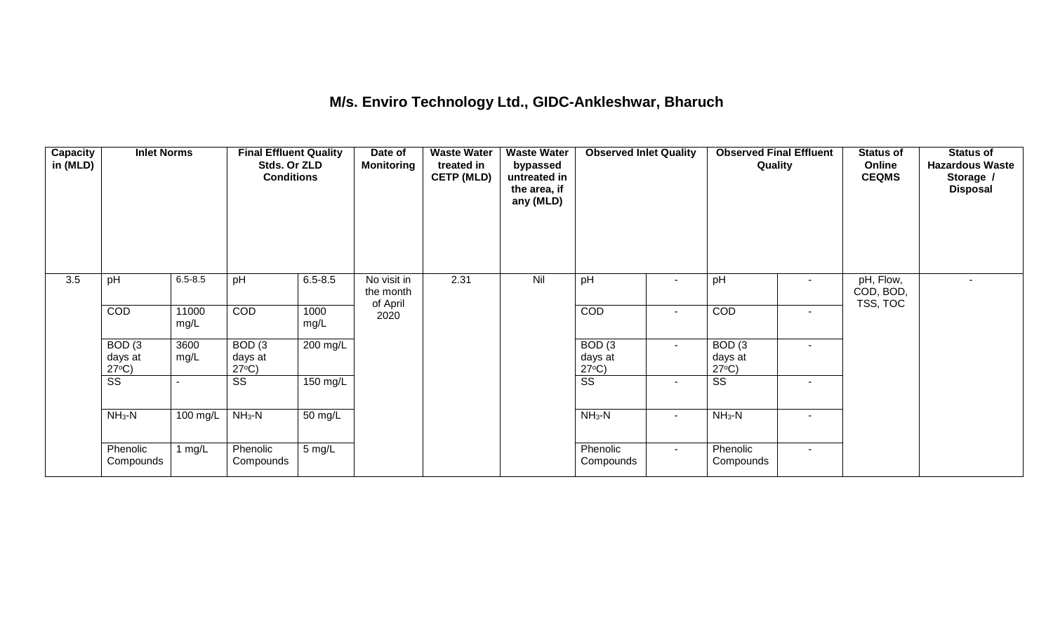### **M/s. Enviro Technology Ltd., GIDC-Ankleshwar, Bharuch**

| <b>Capacity</b><br>in (MLD) | <b>Inlet Norms</b>                   |               | <b>Final Effluent Quality</b><br>Stds. Or ZLD<br><b>Conditions</b> |                  | Date of<br><b>Monitoring</b>         | <b>Waste Water</b><br>treated in<br><b>CETP (MLD)</b> | <b>Waste Water</b><br>bypassed<br>untreated in<br>the area, if<br>any (MLD) | <b>Observed Inlet Quality</b>        |                | <b>Observed Final Effluent</b><br>Quality |                          | <b>Status of</b><br>Online<br><b>CEQMS</b> | <b>Status of</b><br><b>Hazardous Waste</b><br>Storage /<br><b>Disposal</b> |
|-----------------------------|--------------------------------------|---------------|--------------------------------------------------------------------|------------------|--------------------------------------|-------------------------------------------------------|-----------------------------------------------------------------------------|--------------------------------------|----------------|-------------------------------------------|--------------------------|--------------------------------------------|----------------------------------------------------------------------------|
| 3.5                         | pH                                   | $6.5 - 8.5$   | pH                                                                 | $6.5 - 8.5$      | No visit in<br>the month<br>of April | 2.31                                                  | Nil                                                                         | pH                                   | $\sim$         | pH                                        |                          | pH, Flow,<br>COD, BOD,<br>TSS, TOC         |                                                                            |
|                             | COD                                  | 11000<br>mg/L | <b>COD</b>                                                         | 1000<br>mg/L     | 2020                                 |                                                       |                                                                             | <b>COD</b>                           | $\blacksquare$ | COD                                       | $\sim$                   |                                            |                                                                            |
|                             | BOD(3)<br>days at<br>$27^{\circ}C$ ) | 3600<br>mg/L  | BOD(3)<br>days at<br>$27^{\circ}C$ )                               | 200 mg/L         |                                      |                                                       |                                                                             | BOD(3)<br>days at<br>$27^{\circ}C$ ) | $\sim$         | BOD(3)<br>days at<br>$27^{\circ}C$ )      |                          |                                            |                                                                            |
|                             | $\overline{\text{ss}}$               |               | $\overline{\text{SS}}$                                             | 150 mg/L         |                                      |                                                       |                                                                             | $\overline{\text{ss}}$               | $\sim$         | $\overline{\text{ss}}$                    | $\overline{\phantom{a}}$ |                                            |                                                                            |
|                             | $NH3-N$                              | 100 mg/L      | $NH_3-N$                                                           | 50 mg/L          |                                      |                                                       |                                                                             | $NH_3-N$                             | $\sim$         | $NH_3-N$                                  |                          |                                            |                                                                            |
|                             | Phenolic<br>Compounds                | 1 mg/L        | Phenolic<br>Compounds                                              | $5 \text{ mg/L}$ |                                      |                                                       |                                                                             | Phenolic<br>Compounds                | $\sim$         | Phenolic<br>Compounds                     | $\sim$                   |                                            |                                                                            |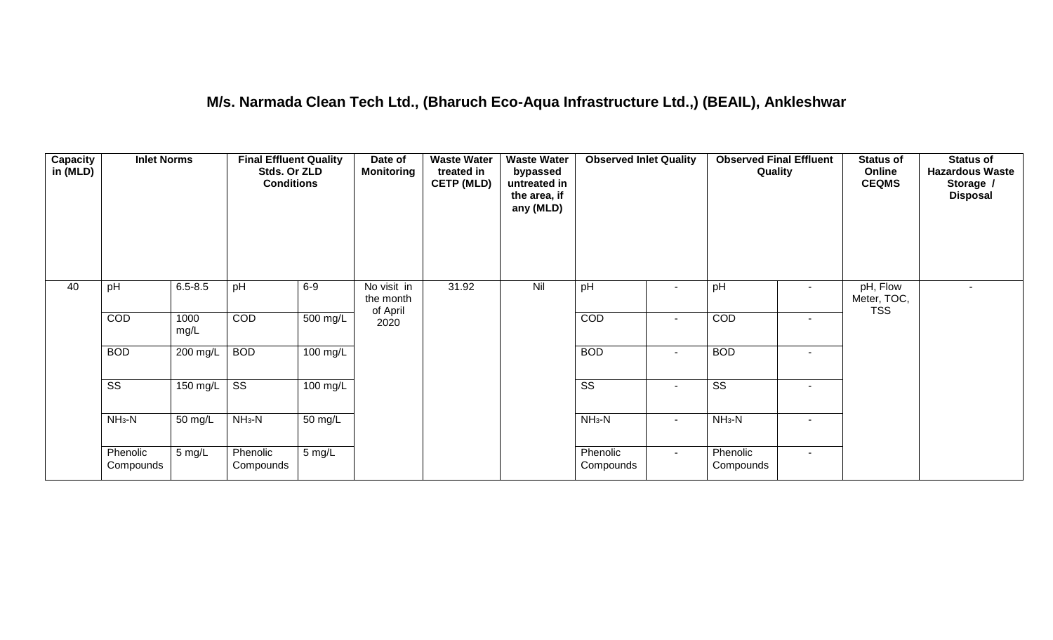### **M/s. Narmada Clean Tech Ltd., (Bharuch Eco-Aqua Infrastructure Ltd.,) (BEAIL), Ankleshwar**

| <b>Capacity</b><br>in (MLD) | <b>Inlet Norms</b>     |              | <b>Final Effluent Quality</b><br>Stds. Or ZLD<br><b>Conditions</b> |                      | Date of<br><b>Monitoring</b>         | <b>Waste Water</b><br>treated in<br><b>CETP (MLD)</b> | <b>Waste Water</b><br>bypassed<br>untreated in<br>the area, if<br>any (MLD) | <b>Observed Inlet Quality</b> |                | <b>Observed Final Effluent</b><br>Quality |        | <b>Status of</b><br>Online<br><b>CEQMS</b> | <b>Status of</b><br><b>Hazardous Waste</b><br>Storage /<br><b>Disposal</b> |
|-----------------------------|------------------------|--------------|--------------------------------------------------------------------|----------------------|--------------------------------------|-------------------------------------------------------|-----------------------------------------------------------------------------|-------------------------------|----------------|-------------------------------------------|--------|--------------------------------------------|----------------------------------------------------------------------------|
| 40                          | pH                     | $6.5 - 8.5$  | pH                                                                 | $6-9$                | No visit in<br>the month<br>of April | 31.92                                                 | Nil                                                                         | pH                            | $\sim$         | pH                                        | $\sim$ | pH, Flow<br>Meter, TOC,<br><b>TSS</b>      |                                                                            |
|                             | COD                    | 1000<br>mg/L | COD                                                                | $500 \text{ mg/L}$   | 2020                                 |                                                       |                                                                             | COD                           | $\sim$         | COD                                       | $\sim$ |                                            |                                                                            |
|                             | <b>BOD</b>             | 200 mg/L     | <b>BOD</b>                                                         | $100 \text{ mg/L}$   |                                      |                                                       |                                                                             | <b>BOD</b>                    | $\sim$         | <b>BOD</b>                                |        |                                            |                                                                            |
|                             | $\overline{\text{ss}}$ | 150 mg/L     | $\overline{\text{ss}}$                                             | $100 \text{ mg/L}$   |                                      |                                                       |                                                                             | $\overline{\text{ss}}$        | $\sim$         | $\overline{\text{ss}}$                    | $\sim$ |                                            |                                                                            |
|                             | $NH3-N$                | 50 mg/L      | $NH3-N$                                                            | $\overline{50}$ mg/L |                                      |                                                       |                                                                             | $NH3-N$                       | $\blacksquare$ | $NH3-N$                                   | $\sim$ |                                            |                                                                            |
|                             | Phenolic<br>Compounds  | 5 mg/L       | Phenolic<br>Compounds                                              | $5 \text{ mg/L}$     |                                      |                                                       |                                                                             | Phenolic<br>Compounds         | $\sim$         | Phenolic<br>Compounds                     | $\sim$ |                                            |                                                                            |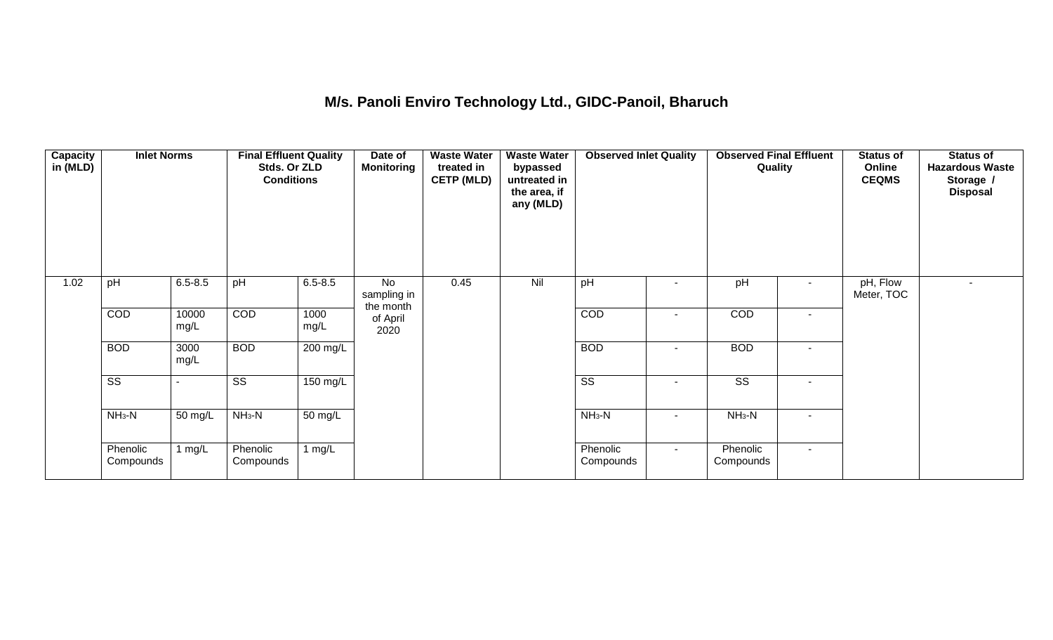## **M/s. Panoli Enviro Technology Ltd., GIDC-Panoil, Bharuch**

| Capacity<br>in (MLD) | <b>Inlet Norms</b>     |               | <b>Final Effluent Quality</b><br>Stds. Or ZLD<br><b>Conditions</b> |              | Date of<br><b>Monitoring</b>   | <b>Waste Water</b><br>treated in<br><b>CETP (MLD)</b> | <b>Waste Water</b><br>bypassed<br>untreated in<br>the area, if<br>any (MLD) | <b>Observed Inlet Quality</b> |                          | <b>Observed Final Effluent</b><br>Quality |        | <b>Status of</b><br>Online<br><b>CEQMS</b> | <b>Status of</b><br><b>Hazardous Waste</b><br>Storage /<br><b>Disposal</b> |
|----------------------|------------------------|---------------|--------------------------------------------------------------------|--------------|--------------------------------|-------------------------------------------------------|-----------------------------------------------------------------------------|-------------------------------|--------------------------|-------------------------------------------|--------|--------------------------------------------|----------------------------------------------------------------------------|
| 1.02                 | pH                     | $6.5 - 8.5$   | pH                                                                 | $6.5 - 8.5$  | No<br>sampling in<br>the month | 0.45                                                  | Nil                                                                         | pH                            | ٠                        | pH                                        | $\sim$ | pH, Flow<br>Meter, TOC                     |                                                                            |
|                      | COD                    | 10000<br>mg/L | <b>COD</b>                                                         | 1000<br>mg/L | of April<br>2020               |                                                       |                                                                             | <b>COD</b>                    | ٠                        | COD                                       | $\sim$ |                                            |                                                                            |
|                      | <b>BOD</b>             | 3000<br>mg/L  | <b>BOD</b>                                                         | 200 mg/L     |                                |                                                       |                                                                             | <b>BOD</b>                    | $\blacksquare$           | <b>BOD</b>                                | $\sim$ |                                            |                                                                            |
|                      | $\overline{\text{ss}}$ |               | $\overline{\text{ss}}$                                             | 150 mg/L     |                                |                                                       |                                                                             | $\overline{\text{SS}}$        | $\overline{\phantom{a}}$ | $\overline{\text{ss}}$                    | $\sim$ |                                            |                                                                            |
|                      | $NH3-N$                | 50 mg/L       | $NH3-N$                                                            | 50 mg/L      |                                |                                                       |                                                                             | $NH3-N$                       | $\overline{\phantom{a}}$ | $NH3-N$                                   | $\sim$ |                                            |                                                                            |
|                      | Phenolic<br>Compounds  | 1 $mg/L$      | Phenolic<br>Compounds                                              | 1 $mg/L$     |                                |                                                       |                                                                             | Phenolic<br>Compounds         | $\sim$                   | Phenolic<br>Compounds                     | $\sim$ |                                            |                                                                            |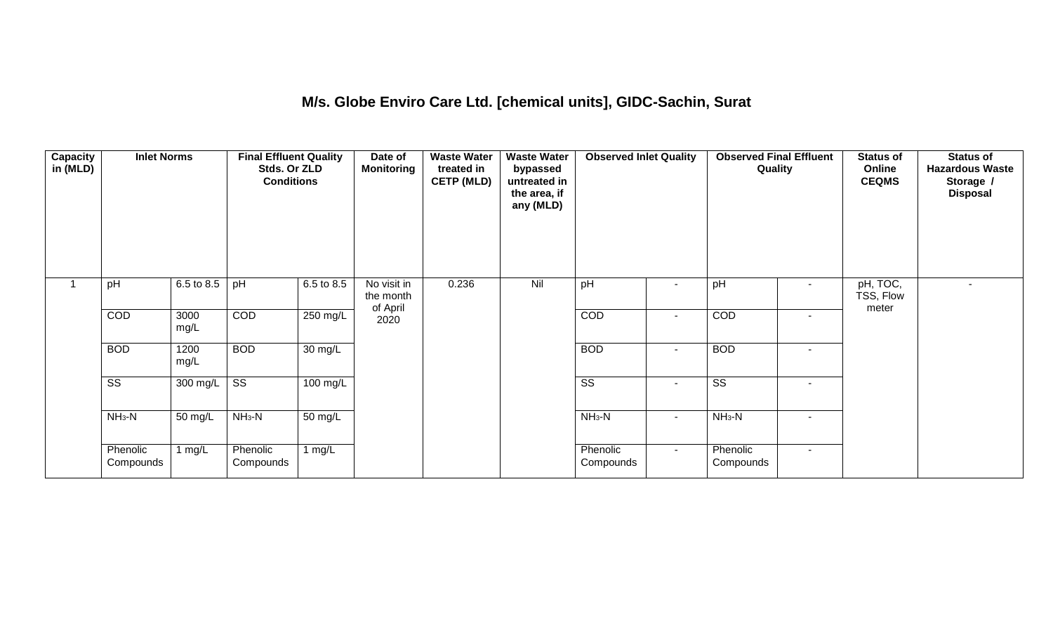### **M/s. Globe Enviro Care Ltd. [chemical units], GIDC-Sachin, Surat**

| Capacity<br>in (MLD) | <b>Inlet Norms</b>     |                      | <b>Final Effluent Quality</b><br>Stds. Or ZLD<br><b>Conditions</b> |                      | Date of<br><b>Monitoring</b>         | <b>Waste Water</b><br>treated in<br><b>CETP (MLD)</b> | <b>Waste Water</b><br>bypassed<br>untreated in<br>the area, if<br>any (MLD) | <b>Observed Inlet Quality</b> |                | <b>Observed Final Effluent</b><br>Quality |                | <b>Status of</b><br>Online<br><b>CEQMS</b> | <b>Status of</b><br><b>Hazardous Waste</b><br>Storage /<br><b>Disposal</b> |
|----------------------|------------------------|----------------------|--------------------------------------------------------------------|----------------------|--------------------------------------|-------------------------------------------------------|-----------------------------------------------------------------------------|-------------------------------|----------------|-------------------------------------------|----------------|--------------------------------------------|----------------------------------------------------------------------------|
|                      | pH                     | 6.5 to 8.5           | pH                                                                 | 6.5 to 8.5           | No visit in<br>the month<br>of April | 0.236                                                 | Nil                                                                         | pH                            |                | pH                                        | $\blacksquare$ | pH, TOC,<br>TSS, Flow<br>meter             |                                                                            |
|                      | COD                    | 3000<br>mg/L         | COD                                                                | 250 mg/L             | 2020                                 |                                                       |                                                                             | COD                           | $\blacksquare$ | COD                                       | $\blacksquare$ |                                            |                                                                            |
|                      | <b>BOD</b>             | 1200<br>mg/L         | <b>BOD</b>                                                         | $\overline{30}$ mg/L |                                      |                                                       |                                                                             | <b>BOD</b>                    | $\blacksquare$ | <b>BOD</b>                                | $\blacksquare$ |                                            |                                                                            |
|                      | $\overline{\text{ss}}$ | 300 mg/L             | $\overline{\text{ss}}$                                             | $100 \text{ mg/L}$   |                                      |                                                       |                                                                             | $\overline{\text{ss}}$        | ٠              | $\overline{\text{ss}}$                    | $\blacksquare$ |                                            |                                                                            |
|                      | $NH3-N$                | $\overline{50}$ mg/L | $NH3-N$                                                            | $\overline{50}$ mg/L |                                      |                                                       |                                                                             | $NH_3-N$                      | $\blacksquare$ | $NH3-N$                                   | $\blacksquare$ |                                            |                                                                            |
|                      | Phenolic<br>Compounds  | 1 mg/L               | Phenolic<br>Compounds                                              | 1 $mg/L$             |                                      |                                                       |                                                                             | Phenolic<br>Compounds         | $\sim$         | Phenolic<br>Compounds                     | $\sim$         |                                            |                                                                            |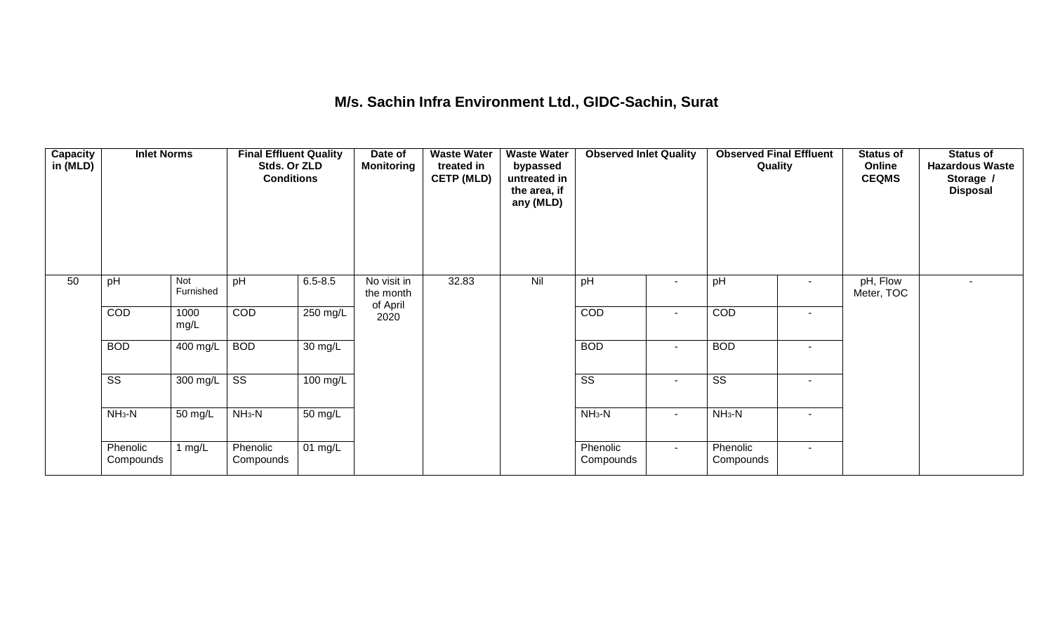### **M/s. Sachin Infra Environment Ltd., GIDC-Sachin, Surat**

| Capacity<br>in (MLD) | <b>Inlet Norms</b>     |                  | <b>Final Effluent Quality</b><br>Stds. Or ZLD<br><b>Conditions</b> |                      | Date of<br><b>Monitoring</b>         | <b>Waste Water</b><br>treated in<br><b>CETP (MLD)</b> | <b>Waste Water</b><br>bypassed<br>untreated in<br>the area, if<br>any (MLD) | <b>Observed Inlet Quality</b> |                          | <b>Observed Final Effluent</b><br>Quality |        | <b>Status of</b><br>Online<br><b>CEQMS</b> | <b>Status of</b><br><b>Hazardous Waste</b><br>Storage /<br><b>Disposal</b> |
|----------------------|------------------------|------------------|--------------------------------------------------------------------|----------------------|--------------------------------------|-------------------------------------------------------|-----------------------------------------------------------------------------|-------------------------------|--------------------------|-------------------------------------------|--------|--------------------------------------------|----------------------------------------------------------------------------|
| 50                   | pH                     | Not<br>Furnished | pH                                                                 | $6.5 - 8.5$          | No visit in<br>the month<br>of April | 32.83                                                 | Nil                                                                         | pH                            | $\overline{\phantom{a}}$ | pH                                        |        | pH, Flow<br>Meter, TOC                     |                                                                            |
|                      | COD                    | 1000<br>mg/L     | COD                                                                | 250 mg/L             | 2020                                 |                                                       |                                                                             | COD                           | $\blacksquare$           | COD                                       |        |                                            |                                                                            |
|                      | <b>BOD</b>             | 400 mg/L         | <b>BOD</b>                                                         | $\overline{30}$ mg/L |                                      |                                                       |                                                                             | <b>BOD</b>                    | $\blacksquare$           | <b>BOD</b>                                | $\sim$ |                                            |                                                                            |
|                      | $\overline{\text{ss}}$ | 300 mg/L         | $\overline{\text{ss}}$                                             | $100 \text{ mg/L}$   |                                      |                                                       |                                                                             | $\overline{\text{ss}}$        | $\sim$                   | $\overline{\text{ss}}$                    | $\sim$ |                                            |                                                                            |
|                      | $NH3-N$                | 50 mg/L          | $NH_3-N$                                                           | $\overline{50}$ mg/L |                                      |                                                       |                                                                             | $NH3-N$                       | $\blacksquare$           | $NH3-N$                                   | $\sim$ |                                            |                                                                            |
|                      | Phenolic<br>Compounds  | 1 mg/L           | Phenolic<br>Compounds                                              | 01 $mg/L$            |                                      |                                                       |                                                                             | Phenolic<br>Compounds         | $\sim$                   | Phenolic<br>Compounds                     | $\sim$ |                                            |                                                                            |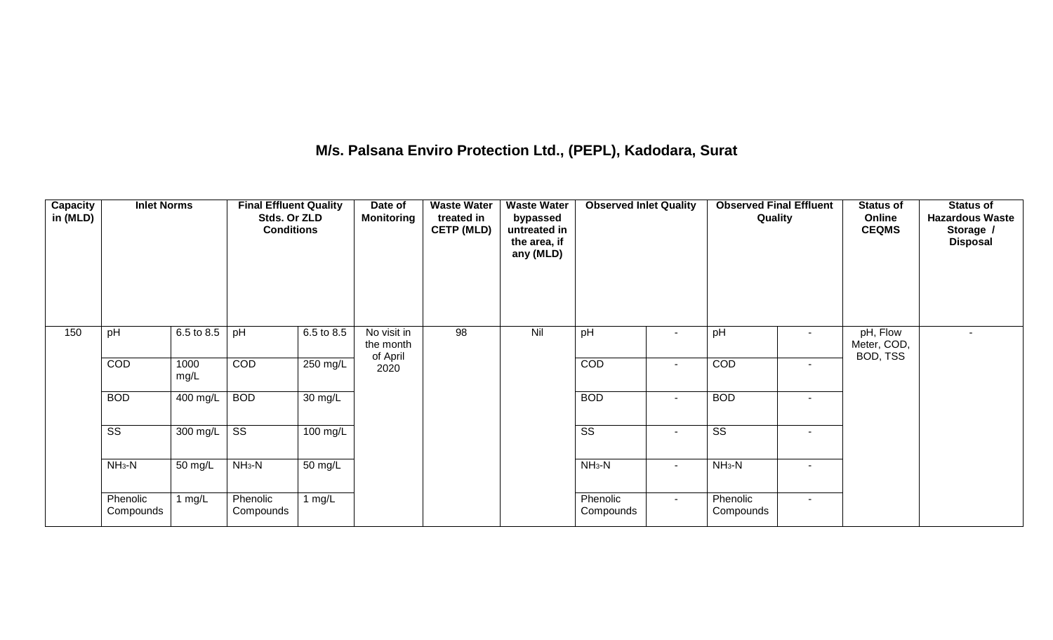## **M/s. Palsana Enviro Protection Ltd., (PEPL), Kadodara, Surat**

| Capacity<br>in (MLD) | <b>Inlet Norms</b>     |              | <b>Final Effluent Quality</b><br>Stds. Or ZLD<br><b>Conditions</b> |                      | Date of<br><b>Monitoring</b>         | <b>Waste Water</b><br>treated in<br><b>CETP (MLD)</b> | <b>Waste Water</b><br>bypassed<br>untreated in<br>the area, if<br>any (MLD) | <b>Observed Inlet Quality</b> |        | <b>Observed Final Effluent</b><br>Quality |                          | <b>Status of</b><br>Online<br><b>CEQMS</b> | <b>Status of</b><br><b>Hazardous Waste</b><br>Storage /<br><b>Disposal</b> |
|----------------------|------------------------|--------------|--------------------------------------------------------------------|----------------------|--------------------------------------|-------------------------------------------------------|-----------------------------------------------------------------------------|-------------------------------|--------|-------------------------------------------|--------------------------|--------------------------------------------|----------------------------------------------------------------------------|
| 150                  | pH                     | 6.5 to 8.5   | pH                                                                 | 6.5 to 8.5           | No visit in<br>the month<br>of April | 98                                                    | Nil                                                                         | pH                            | $\sim$ | pH                                        | $\sim$                   | pH, Flow<br>Meter, COD,<br>BOD, TSS        | $\sim$                                                                     |
|                      | COD                    | 1000<br>mg/L | COD                                                                | 250 mg/L             | 2020                                 |                                                       |                                                                             | COD                           | $\sim$ | COD                                       | $\sim$                   |                                            |                                                                            |
|                      | <b>BOD</b>             | 400 mg/L     | <b>BOD</b>                                                         | $\overline{30}$ mg/L |                                      |                                                       |                                                                             | <b>BOD</b>                    | $\sim$ | <b>BOD</b>                                | $\sim$                   |                                            |                                                                            |
|                      | $\overline{\text{ss}}$ | 300 mg/L     | $\overline{\text{ss}}$                                             | 100 mg/L             |                                      |                                                       |                                                                             | $\overline{\text{ss}}$        | $\sim$ | $\overline{\text{ss}}$                    | $\overline{\phantom{a}}$ |                                            |                                                                            |
|                      | $NH3-N$                | 50 mg/L      | $NH3-N$                                                            | 50 mg/L              |                                      |                                                       |                                                                             | $NH3-N$                       | $\sim$ | $NH_3-N$                                  |                          |                                            |                                                                            |
|                      | Phenolic<br>Compounds  | 1 $mg/L$     | Phenolic<br>Compounds                                              | 1 $mg/L$             |                                      |                                                       |                                                                             | Phenolic<br>Compounds         | $\sim$ | Phenolic<br>Compounds                     | $\sim$                   |                                            |                                                                            |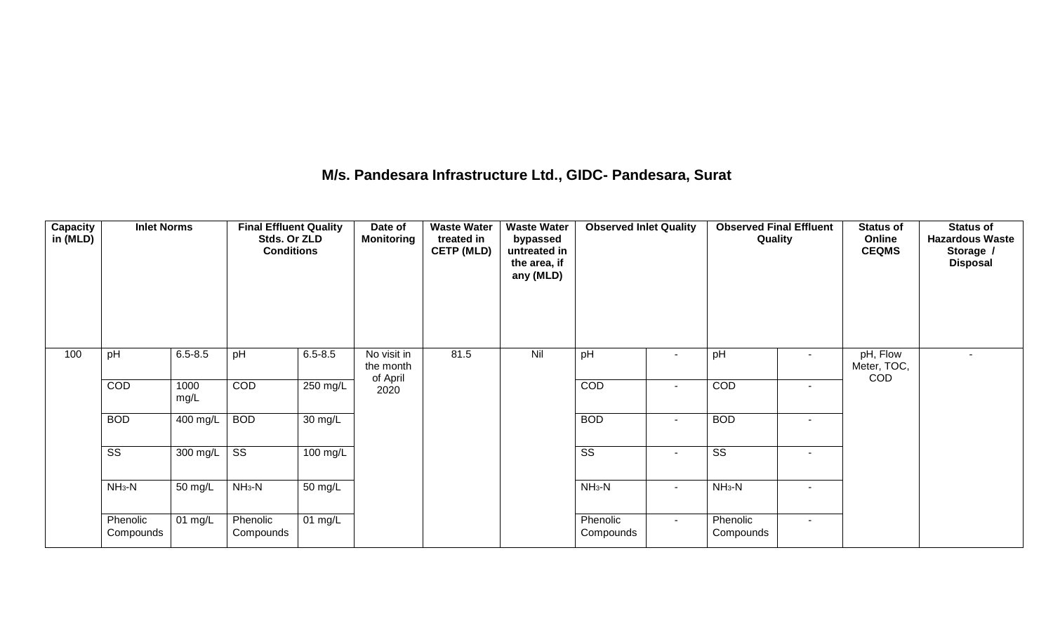### **M/s. Pandesara Infrastructure Ltd., GIDC- Pandesara, Surat**

| Capacity<br>in (MLD) | <b>Inlet Norms</b>     |              | <b>Final Effluent Quality</b><br>Stds. Or ZLD<br><b>Conditions</b> |                      | Date of<br><b>Monitoring</b> | <b>Waste Water</b><br>treated in<br><b>CETP (MLD)</b> | <b>Waste Water</b><br>bypassed<br>untreated in<br>the area, if<br>any (MLD) | <b>Observed Inlet Quality</b> |                | <b>Observed Final Effluent</b><br>Quality |                          | <b>Status of</b><br>Online<br><b>CEQMS</b> | <b>Status of</b><br><b>Hazardous Waste</b><br>Storage /<br><b>Disposal</b> |
|----------------------|------------------------|--------------|--------------------------------------------------------------------|----------------------|------------------------------|-------------------------------------------------------|-----------------------------------------------------------------------------|-------------------------------|----------------|-------------------------------------------|--------------------------|--------------------------------------------|----------------------------------------------------------------------------|
| 100                  | pH                     | $6.5 - 8.5$  | pH                                                                 | $6.5 - 8.5$          | No visit in<br>the month     | 81.5                                                  | Nil                                                                         | pH                            | $\blacksquare$ | pH                                        | $\sim$                   | pH, Flow<br>Meter, TOC,                    | $\sim$                                                                     |
|                      | COD                    | 1000<br>mg/L | COD                                                                | 250 mg/L             | of April<br>2020             |                                                       |                                                                             | COD                           | $\blacksquare$ | COD                                       | $\overline{\phantom{a}}$ | <b>COD</b>                                 |                                                                            |
|                      | <b>BOD</b>             | 400 mg/L     | <b>BOD</b>                                                         | $\overline{30}$ mg/L |                              |                                                       |                                                                             | <b>BOD</b>                    | $\sim$         | <b>BOD</b>                                |                          |                                            |                                                                            |
|                      | $\overline{\text{ss}}$ | 300 mg/L     | $\overline{\text{ss}}$                                             | 100 mg/L             |                              |                                                       |                                                                             | $\overline{\text{SS}}$        | $\sim$         | $\overline{\text{ss}}$                    | $\sim$                   |                                            |                                                                            |
|                      | $NH3-N$                | 50 mg/L      | $NH3-N$                                                            | 50 mg/L              |                              |                                                       |                                                                             | $NH_3-N$                      | $\sim$         | $NH_3-N$                                  | $\sim$                   |                                            |                                                                            |
|                      | Phenolic<br>Compounds  | 01 mg/L      | Phenolic<br>Compounds                                              | 01 mg/L              |                              |                                                       |                                                                             | Phenolic<br>Compounds         | $\sim$         | Phenolic<br>Compounds                     | $\sim$                   |                                            |                                                                            |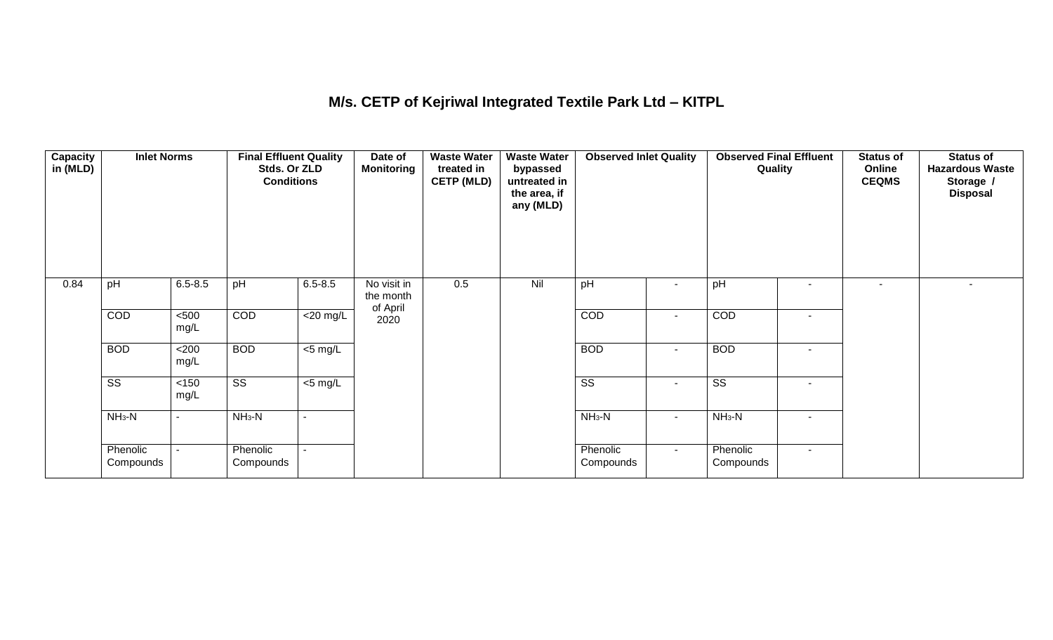## **M/s. CETP of Kejriwal Integrated Textile Park Ltd – KITPL**

| Capacity<br>in (MLD) | <b>Inlet Norms</b>     |                | <b>Final Effluent Quality</b><br>Stds. Or ZLD<br><b>Conditions</b> |                     | Date of<br>Monitoring    | <b>Waste Water</b><br>treated in<br><b>CETP (MLD)</b> | <b>Waste Water</b><br>bypassed<br>untreated in<br>the area, if<br>any (MLD) | <b>Observed Inlet Quality</b> |                          | <b>Observed Final Effluent</b><br>Quality |                          | <b>Status of</b><br>Online<br><b>CEQMS</b> | <b>Status of</b><br><b>Hazardous Waste</b><br>Storage /<br><b>Disposal</b> |
|----------------------|------------------------|----------------|--------------------------------------------------------------------|---------------------|--------------------------|-------------------------------------------------------|-----------------------------------------------------------------------------|-------------------------------|--------------------------|-------------------------------------------|--------------------------|--------------------------------------------|----------------------------------------------------------------------------|
| 0.84                 | pH                     | $6.5 - 8.5$    | pH                                                                 | $6.5 - 8.5$         | No visit in<br>the month | 0.5                                                   | Nil                                                                         | pH                            | $\overline{\phantom{a}}$ | pH                                        |                          | ٠                                          |                                                                            |
|                      | COD                    | $500$<br>mg/L  | COD                                                                | $<$ 20 mg/L         | of April<br>2020         |                                                       |                                                                             | COD                           | $\overline{\phantom{a}}$ | COD                                       | ٠                        |                                            |                                                                            |
|                      | <b>BOD</b>             | <200<br>mg/L   | <b>BOD</b>                                                         | $\overline{5}$ mg/L |                          |                                                       |                                                                             | <b>BOD</b>                    | $\sim$                   | <b>BOD</b>                                | $\sim$                   |                                            |                                                                            |
|                      | $\overline{\text{ss}}$ | < 150<br>mg/L  | $\overline{\text{ss}}$                                             | $<$ 5 mg/L          |                          |                                                       |                                                                             | $\overline{\text{ss}}$        | $\sim$                   | $\overline{\text{ss}}$                    | $\overline{\phantom{a}}$ |                                            |                                                                            |
|                      | $NH3-N$                | $\blacksquare$ | $NH3-N$                                                            | $\blacksquare$      |                          |                                                       |                                                                             | $NH_3-N$                      | $\sim$                   | $NH3-N$                                   | $\overline{\phantom{a}}$ |                                            |                                                                            |
|                      | Phenolic<br>Compounds  |                | Phenolic<br>Compounds                                              | $\sim$              |                          |                                                       |                                                                             | Phenolic<br>Compounds         | $\sim$                   | Phenolic<br>Compounds                     | $\sim$                   |                                            |                                                                            |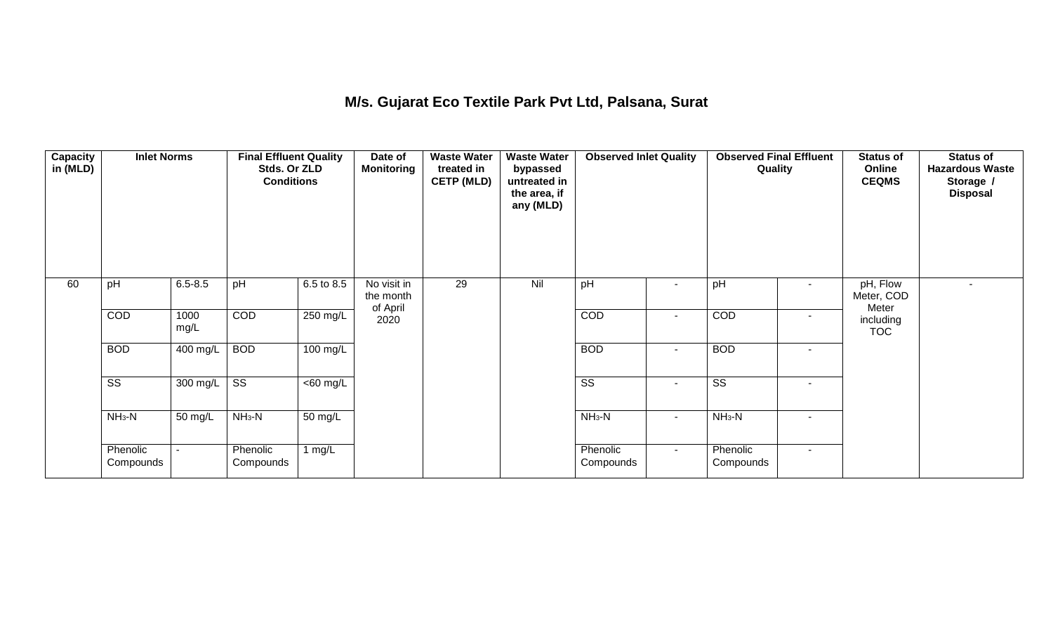## **M/s. Gujarat Eco Textile Park Pvt Ltd, Palsana, Surat**

| Capacity<br>in (MLD) | <b>Inlet Norms</b>     |              | <b>Final Effluent Quality</b><br>Stds. Or ZLD<br><b>Conditions</b> |                      | Date of<br>Monitoring                | <b>Waste Water</b><br>treated in<br><b>CETP (MLD)</b> | <b>Waste Water</b><br>bypassed<br>untreated in<br>the area, if<br>any (MLD) | <b>Observed Inlet Quality</b> |                          | <b>Observed Final Effluent</b><br>Quality |                          | <b>Status of</b><br>Online<br><b>CEQMS</b> | <b>Status of</b><br><b>Hazardous Waste</b><br>Storage /<br><b>Disposal</b> |
|----------------------|------------------------|--------------|--------------------------------------------------------------------|----------------------|--------------------------------------|-------------------------------------------------------|-----------------------------------------------------------------------------|-------------------------------|--------------------------|-------------------------------------------|--------------------------|--------------------------------------------|----------------------------------------------------------------------------|
| 60                   | pH                     | $6.5 - 8.5$  | pH                                                                 | 6.5 to 8.5           | No visit in<br>the month<br>of April | 29                                                    | Nil                                                                         | pH                            | ٠                        | pH                                        |                          | pH, Flow<br>Meter, COD<br>Meter            |                                                                            |
|                      | COD                    | 1000<br>mg/L | COD                                                                | 250 mg/L             | 2020                                 |                                                       |                                                                             | COD                           | $\overline{\phantom{a}}$ | COD                                       | $\overline{\phantom{a}}$ | including<br><b>TOC</b>                    |                                                                            |
|                      | <b>BOD</b>             | 400 mg/L     | <b>BOD</b>                                                         | 100 mg/L             |                                      |                                                       |                                                                             | <b>BOD</b>                    | $\sim$                   | <b>BOD</b>                                | $\blacksquare$           |                                            |                                                                            |
|                      | $\overline{\text{ss}}$ | 300 mg/L     | $\overline{\text{ss}}$                                             | $\overline{60}$ mg/L |                                      |                                                       |                                                                             | $\overline{\text{ss}}$        | $\sim$                   | $\overline{\text{ss}}$                    | $\sim$                   |                                            |                                                                            |
|                      | $NH3-N$                | 50 mg/L      | $NH3-N$                                                            | 50 mg/L              |                                      |                                                       |                                                                             | $NH_3-N$                      | $\sim$                   | $NH3-N$                                   | $\overline{\phantom{a}}$ |                                            |                                                                            |
|                      | Phenolic<br>Compounds  |              | Phenolic<br>Compounds                                              | 1 $mg/L$             |                                      |                                                       |                                                                             | Phenolic<br>Compounds         | $\sim$                   | Phenolic<br>Compounds                     | $\overline{\phantom{a}}$ |                                            |                                                                            |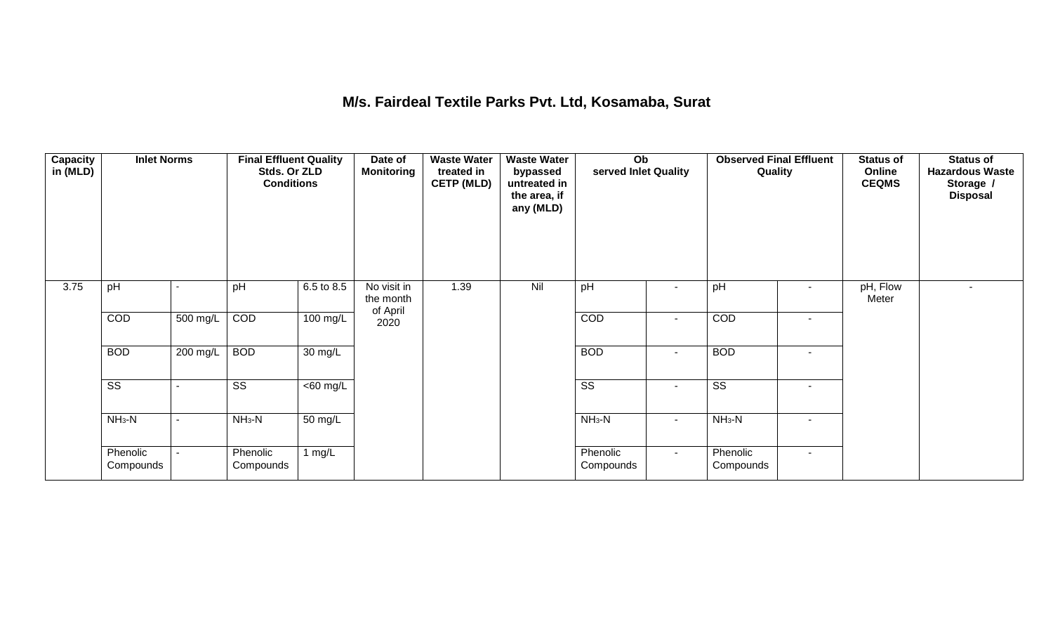### **M/s. Fairdeal Textile Parks Pvt. Ltd, Kosamaba, Surat**

| <b>Capacity</b><br>in (MLD) | <b>Inlet Norms</b>     |          | <b>Final Effluent Quality</b><br>Stds. Or ZLD<br><b>Conditions</b> |                      | Date of<br><b>Monitoring</b>         | <b>Waste Water</b><br>treated in<br><b>CETP (MLD)</b> | <b>Waste Water</b><br>bypassed<br>untreated in<br>the area, if<br>any (MLD) | Ob<br>served Inlet Quality |                | <b>Observed Final Effluent</b><br>Quality |                          | <b>Status of</b><br>Online<br><b>CEQMS</b> | <b>Status of</b><br><b>Hazardous Waste</b><br>Storage /<br><b>Disposal</b> |
|-----------------------------|------------------------|----------|--------------------------------------------------------------------|----------------------|--------------------------------------|-------------------------------------------------------|-----------------------------------------------------------------------------|----------------------------|----------------|-------------------------------------------|--------------------------|--------------------------------------------|----------------------------------------------------------------------------|
| 3.75                        | pH                     |          | pH                                                                 | 6.5 to 8.5           | No visit in<br>the month<br>of April | 1.39                                                  | Nil                                                                         | pH                         |                | pH                                        | $\overline{\phantom{a}}$ | pH, Flow<br>Meter                          |                                                                            |
|                             | COD                    | 500 mg/L | COD                                                                | 100 mg/L             | 2020                                 |                                                       |                                                                             | COD                        | $\blacksquare$ | COD                                       | $\overline{\phantom{a}}$ |                                            |                                                                            |
|                             | <b>BOD</b>             | 200 mg/L | <b>BOD</b>                                                         | 30 mg/L              |                                      |                                                       |                                                                             | <b>BOD</b>                 | $\sim$         | <b>BOD</b>                                | $\overline{\phantom{a}}$ |                                            |                                                                            |
|                             | $\overline{\text{ss}}$ |          | $\overline{\text{ss}}$                                             | $\overline{60}$ mg/L |                                      |                                                       |                                                                             | $\overline{\text{ss}}$     | $\blacksquare$ | $\overline{\text{ss}}$                    | $\overline{\phantom{a}}$ |                                            |                                                                            |
|                             | $NH3-N$                |          | $NH3-N$                                                            | $\overline{50}$ mg/L |                                      |                                                       |                                                                             | $NH3-N$                    | $\sim$         | $NH3-N$                                   | $\overline{\phantom{a}}$ |                                            |                                                                            |
|                             | Phenolic<br>Compounds  |          | Phenolic<br>Compounds                                              | 1 $mg/L$             |                                      |                                                       |                                                                             | Phenolic<br>Compounds      | $\sim$ .       | Phenolic<br>Compounds                     | $\sim$                   |                                            |                                                                            |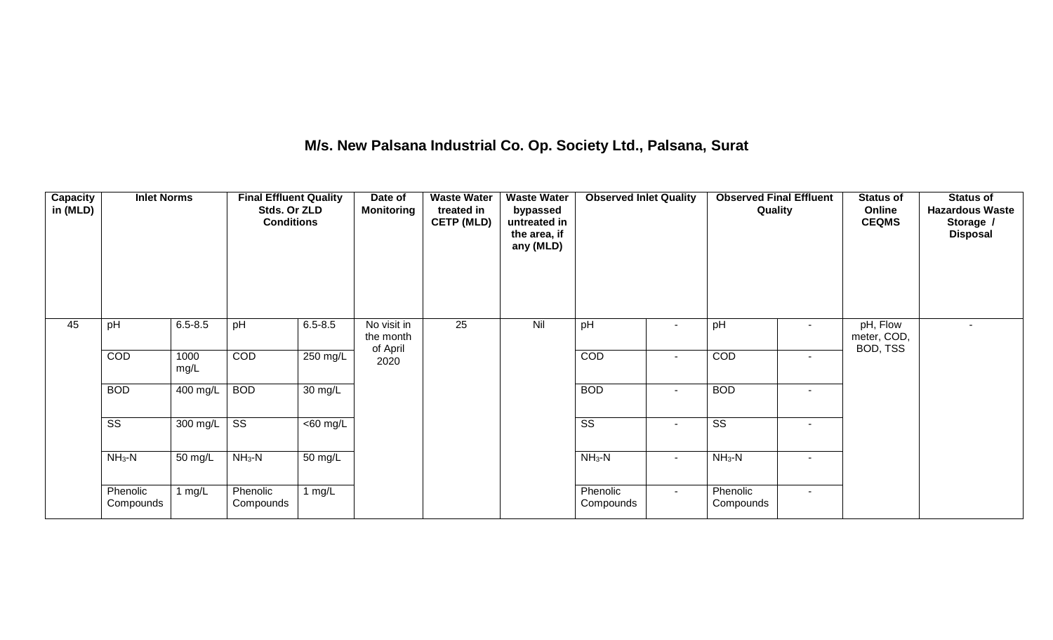## **M/s. New Palsana Industrial Co. Op. Society Ltd., Palsana, Surat**

| Capacity<br>in (MLD) | <b>Inlet Norms</b>     |                       | <b>Final Effluent Quality</b><br>Stds. Or ZLD<br><b>Conditions</b> |                   | Date of<br><b>Monitoring</b>         | <b>Waste Water</b><br>treated in<br><b>CETP (MLD)</b> | <b>Waste Water</b><br>bypassed<br>untreated in<br>the area, if<br>any (MLD) | <b>Observed Inlet Quality</b> |                          | <b>Observed Final Effluent</b><br>Quality |        | <b>Status of</b><br>Online<br><b>CEQMS</b> | <b>Status of</b><br><b>Hazardous Waste</b><br>Storage /<br><b>Disposal</b> |
|----------------------|------------------------|-----------------------|--------------------------------------------------------------------|-------------------|--------------------------------------|-------------------------------------------------------|-----------------------------------------------------------------------------|-------------------------------|--------------------------|-------------------------------------------|--------|--------------------------------------------|----------------------------------------------------------------------------|
| 45                   | pH                     | $6.5 - 8.5$           | pH                                                                 | $6.5 - 8.5$       | No visit in<br>the month<br>of April | $\overline{25}$                                       | Nil                                                                         | pH                            | $\overline{\phantom{a}}$ | pH                                        | $\sim$ | pH, Flow<br>meter, COD,<br>BOD, TSS        |                                                                            |
|                      | COD                    | 1000<br>mg/L          | COD                                                                | 250 mg/L          | 2020                                 |                                                       |                                                                             | COD                           | $\blacksquare$           | COD                                       | $\sim$ |                                            |                                                                            |
|                      | <b>BOD</b>             | 400 mg/L              | <b>BOD</b>                                                         | $30 \text{ mg/L}$ |                                      |                                                       |                                                                             | <b>BOD</b>                    | $\sim$                   | <b>BOD</b>                                | $\sim$ |                                            |                                                                            |
|                      | $\overline{\text{ss}}$ | $300 \text{ mg/L}$ SS |                                                                    | $<$ 60 mg/L       |                                      |                                                       |                                                                             | $\overline{\text{SS}}$        | $\blacksquare$           | $\overline{\text{ss}}$                    | $\sim$ |                                            |                                                                            |
|                      | $NH3-N$                | 50 mg/L               | $NH3-N$                                                            | 50 mg/L           |                                      |                                                       |                                                                             | $NH3-N$                       | $\sim$                   | $NH3-N$                                   | $\sim$ |                                            |                                                                            |
|                      | Phenolic<br>Compounds  | mg/L                  | Phenolic<br>Compounds                                              | 1 $mg/L$          |                                      |                                                       |                                                                             | Phenolic<br>Compounds         | $\sim$                   | Phenolic<br>Compounds                     | $\sim$ |                                            |                                                                            |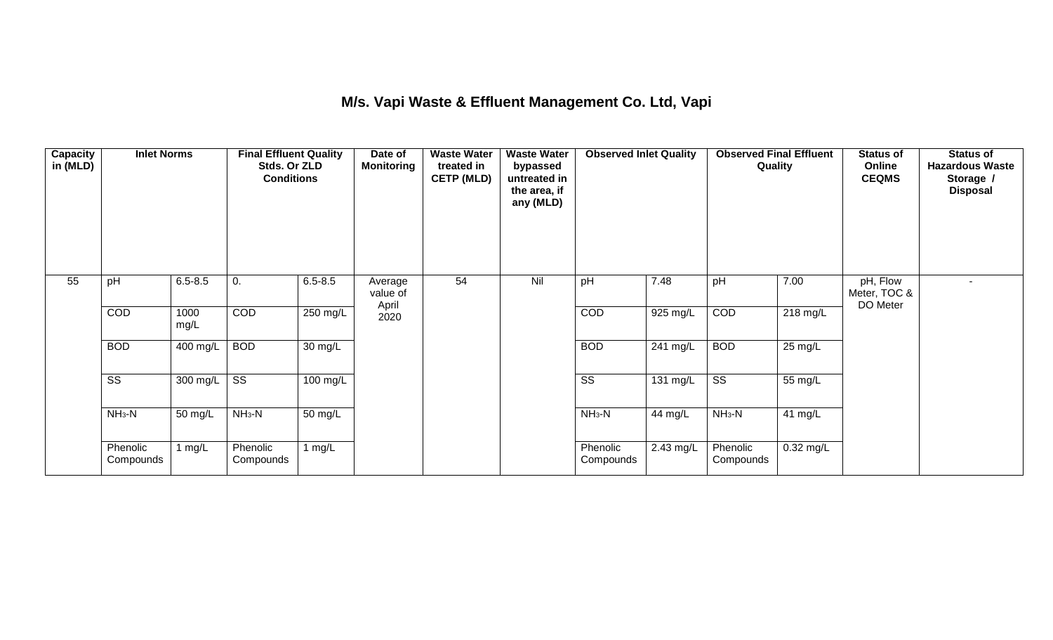## **M/s. Vapi Waste & Effluent Management Co. Ltd, Vapi**

| Capacity<br>in (MLD) | <b>Inlet Norms</b>     |                       |                        | <b>Final Effluent Quality</b><br>Date of<br><b>Monitoring</b><br>Stds. Or ZLD<br><b>Conditions</b> |                              | <b>Waste Water</b><br>treated in<br><b>CETP (MLD)</b> | <b>Waste Water</b><br>bypassed<br>untreated in<br>the area, if<br>any (MLD) | <b>Observed Inlet Quality</b> |           | Quality                |             | <b>Status of</b><br>Online<br><b>CEQMS</b> | <b>Status of</b><br><b>Hazardous Waste</b><br>Storage /<br><b>Disposal</b> |
|----------------------|------------------------|-----------------------|------------------------|----------------------------------------------------------------------------------------------------|------------------------------|-------------------------------------------------------|-----------------------------------------------------------------------------|-------------------------------|-----------|------------------------|-------------|--------------------------------------------|----------------------------------------------------------------------------|
| 55                   | pH                     | $6.5 - 8.5$           | 0.                     | $6.5 - 8.5$                                                                                        | Average<br>value of<br>April | 54                                                    | Nil                                                                         | pH                            | 7.48      | pH                     | 7.00        | pH, Flow<br>Meter, TOC &<br>DO Meter       |                                                                            |
|                      | COD                    | 1000<br>mg/L          | COD                    | 250 mg/L                                                                                           | 2020                         |                                                       |                                                                             | COD                           | 925 mg/L  | COD                    | 218 mg/L    |                                            |                                                                            |
|                      | <b>BOD</b>             | $\overline{400}$ mg/L | <b>BOD</b>             | $\overline{30}$ mg/L                                                                               |                              |                                                       |                                                                             | <b>BOD</b>                    | 241 mg/L  | <b>BOD</b>             | 25 mg/L     |                                            |                                                                            |
|                      | $\overline{\text{ss}}$ | 300 mg/L              | $\overline{\text{ss}}$ | 100 mg/L                                                                                           |                              |                                                       |                                                                             | $\overline{\text{ss}}$        | 131 mg/L  | $\overline{\text{ss}}$ | 55 mg/L     |                                            |                                                                            |
|                      | $NH3-N$                | 50 mg/L               | $NH3-N$                | $\overline{50}$ mg/L                                                                               |                              |                                                       |                                                                             | $NH_3-N$                      | 44 mg/L   | $NH3-N$                | 41 mg/L     |                                            |                                                                            |
|                      | Phenolic<br>Compounds  | 1 $mg/L$              | Phenolic<br>Compounds  | 1 $mg/L$                                                                                           |                              |                                                       |                                                                             | Phenolic<br>Compounds         | 2.43 mg/L | Phenolic<br>Compounds  | $0.32$ mg/L |                                            |                                                                            |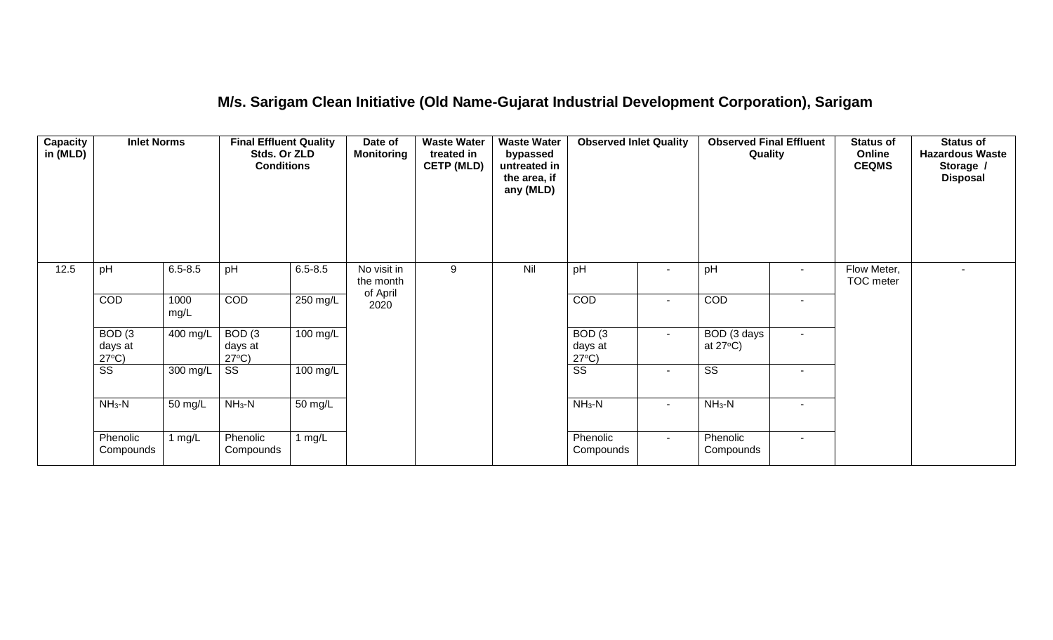## **M/s. Sarigam Clean Initiative (Old Name-Gujarat Industrial Development Corporation), Sarigam**

| Capacity<br>in (MLD) | <b>Inlet Norms</b>                              | Stds. Or ZLD<br><b>Conditions</b> |                                      | <b>Final Effluent Quality</b> | Date of<br><b>Monitoring</b>         | <b>Waste Water</b><br>treated in<br><b>CETP (MLD)</b> | <b>Waste Water</b><br>bypassed<br>untreated in<br>the area, if<br>any (MLD) | <b>Observed Inlet Quality</b>        |                | <b>Observed Final Effluent</b><br>Quality |        | <b>Status of</b><br>Online<br><b>CEQMS</b> | <b>Status of</b><br><b>Hazardous Waste</b><br>Storage /<br><b>Disposal</b> |
|----------------------|-------------------------------------------------|-----------------------------------|--------------------------------------|-------------------------------|--------------------------------------|-------------------------------------------------------|-----------------------------------------------------------------------------|--------------------------------------|----------------|-------------------------------------------|--------|--------------------------------------------|----------------------------------------------------------------------------|
| 12.5                 | pH                                              | $6.5 - 8.5$                       | pH                                   | $6.5 - 8.5$                   | No visit in<br>the month<br>of April | 9                                                     | Nil                                                                         | pH                                   | $\blacksquare$ | pH                                        | $\sim$ | Flow Meter,<br>TOC meter                   |                                                                            |
|                      | COD                                             | 1000<br>mg/L                      | COD                                  | $250$ mg/L                    | 2020                                 |                                                       |                                                                             | COD                                  | $\sim$         | COD                                       | . —    |                                            |                                                                            |
|                      | BOD <sub>(3</sub><br>days at<br>$27^{\circ}C$ ) | 400 mg/L                          | BOD(3)<br>days at<br>$27^{\circ}C$ ) | 100 mg/L                      |                                      |                                                       |                                                                             | BOD(3)<br>days at<br>$27^{\circ}C$ ) | $\sim$         | BOD (3 days<br>at $27^{\circ}$ C)         | $\sim$ |                                            |                                                                            |
|                      | $\overline{\text{SS}}$                          | 300 mg/L                          | $\overline{\text{SS}}$               | 100 mg/L                      |                                      |                                                       |                                                                             | $\overline{\text{ss}}$               | $\blacksquare$ | $\overline{\text{ss}}$                    |        |                                            |                                                                            |
|                      | $NH3-N$                                         | 50 mg/L                           | $NH3-N$                              | 50 mg/L                       |                                      |                                                       |                                                                             | $NH_3-N$                             | $\sim$         | $NH3-N$                                   |        |                                            |                                                                            |
|                      | Phenolic<br>Compounds                           | 1 $mg/L$                          | Phenolic<br>Compounds                | 1 $mg/L$                      |                                      |                                                       |                                                                             | Phenolic<br>Compounds                | $\sim$         | Phenolic<br>Compounds                     | $\sim$ |                                            |                                                                            |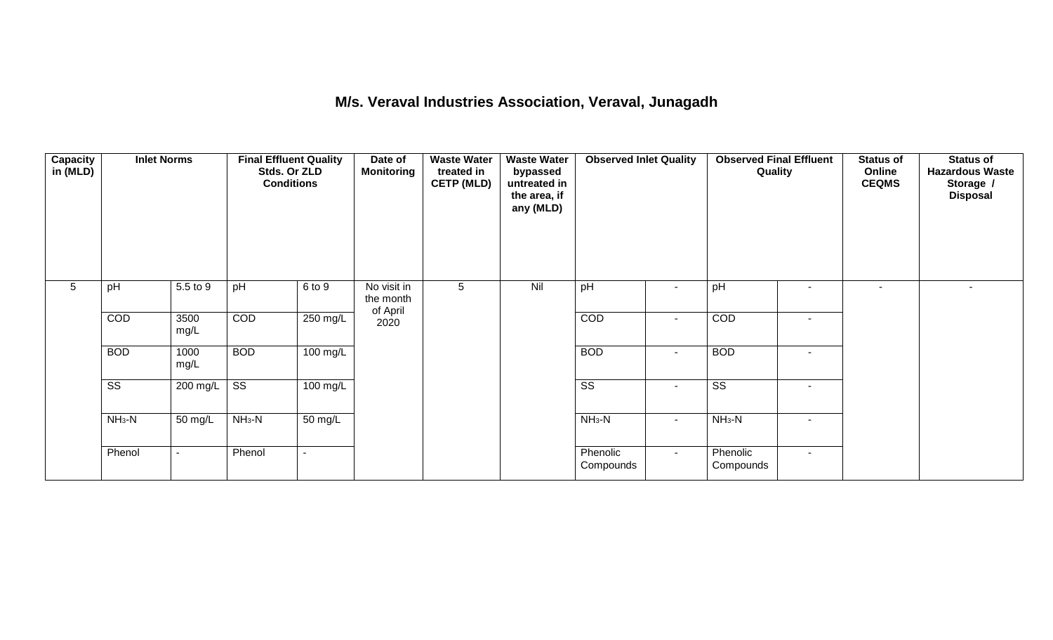### **M/s. Veraval Industries Association, Veraval, Junagadh**

| Capacity<br>in (MLD) |                        | <b>Inlet Norms</b><br><b>Final Effluent Quality</b><br>Stds. Or ZLD<br><b>Conditions</b> |                        | Date of<br><b>Monitoring</b> | <b>Waste Water</b><br>treated in<br><b>CETP (MLD)</b> | <b>Waste Water</b><br>bypassed<br>untreated in<br>the area, if<br>any (MLD) | <b>Observed Inlet Quality</b> |                        | <b>Observed Final Effluent</b><br>Quality |                        | <b>Status of</b><br>Online<br><b>CEQMS</b> | <b>Status of</b><br><b>Hazardous Waste</b><br>Storage /<br><b>Disposal</b> |        |
|----------------------|------------------------|------------------------------------------------------------------------------------------|------------------------|------------------------------|-------------------------------------------------------|-----------------------------------------------------------------------------|-------------------------------|------------------------|-------------------------------------------|------------------------|--------------------------------------------|----------------------------------------------------------------------------|--------|
| 5                    | pH                     | 5.5 to 9                                                                                 | pH                     | 6 to 9                       | No visit in<br>the month<br>of April                  | 5                                                                           | Nil                           | pH                     | $\blacksquare$                            | pH                     | $\overline{\phantom{a}}$                   | $\overline{\phantom{a}}$                                                   | $\sim$ |
|                      | COD                    | 3500<br>mg/L                                                                             | COD                    | $250 \text{ mg/L}$           | 2020                                                  |                                                                             |                               | COD                    | $\blacksquare$                            | COD                    | $\overline{\phantom{a}}$                   |                                                                            |        |
|                      | <b>BOD</b>             | 1000<br>mg/L                                                                             | <b>BOD</b>             | $\overline{100}$ mg/L        |                                                       |                                                                             |                               | <b>BOD</b>             | $\blacksquare$                            | <b>BOD</b>             |                                            |                                                                            |        |
|                      | $\overline{\text{ss}}$ | 200 mg/L                                                                                 | $\overline{\text{ss}}$ | $100 \text{ mg/L}$           |                                                       |                                                                             |                               | $\overline{\text{ss}}$ | $\blacksquare$                            | $\overline{\text{ss}}$ | $\overline{\phantom{a}}$                   |                                                                            |        |
|                      | $NH3-N$                | 50 mg/L                                                                                  | $NH3-N$                | $\overline{50}$ mg/L         |                                                       |                                                                             |                               | $NH_3-N$               | $\sim$                                    | $NH3-N$                | $\overline{\phantom{a}}$                   |                                                                            |        |
|                      | Phenol                 | $\overline{\phantom{a}}$                                                                 | Phenol                 |                              |                                                       |                                                                             |                               | Phenolic<br>Compounds  | $\sim$                                    | Phenolic<br>Compounds  | $\blacksquare$                             |                                                                            |        |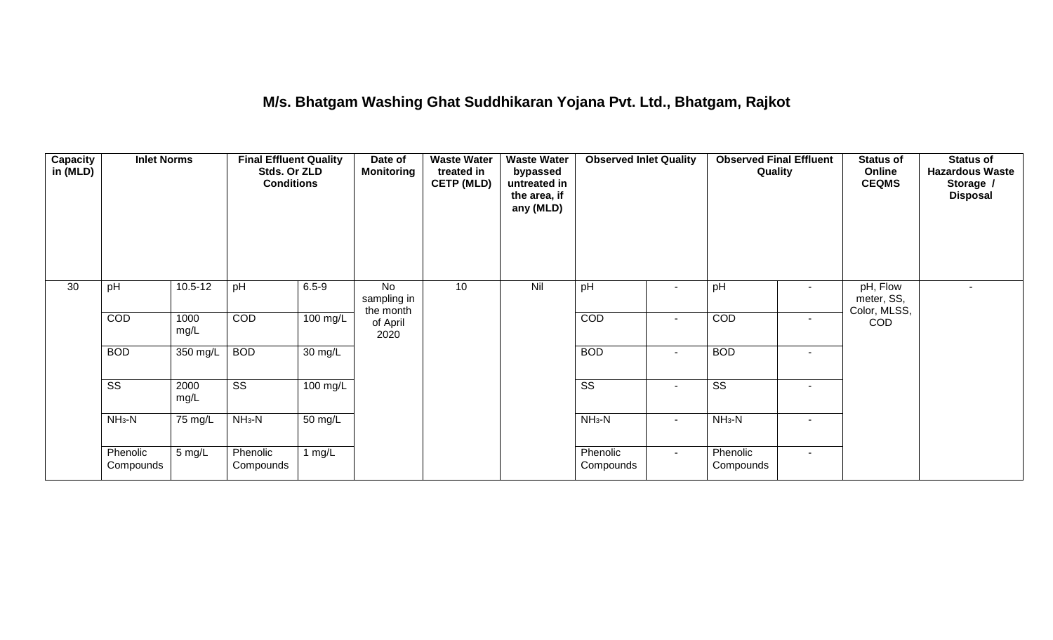### **M/s. Bhatgam Washing Ghat Suddhikaran Yojana Pvt. Ltd., Bhatgam, Rajkot**

| <b>Capacity</b><br>in (MLD) | <b>Inlet Norms</b>     | <b>Final Effluent Quality</b><br>Stds. Or ZLD<br><b>Conditions</b> |                        |                    | Date of<br><b>Monitoring</b>   | <b>Waste Water</b><br>treated in<br><b>CETP (MLD)</b> | <b>Waste Water</b><br>bypassed<br>untreated in<br>the area, if<br>any (MLD) | <b>Observed Inlet Quality</b> |                | <b>Observed Final Effluent</b><br>Quality |        | <b>Status of</b><br>Online<br><b>CEQMS</b> | <b>Status of</b><br><b>Hazardous Waste</b><br>Storage /<br><b>Disposal</b> |
|-----------------------------|------------------------|--------------------------------------------------------------------|------------------------|--------------------|--------------------------------|-------------------------------------------------------|-----------------------------------------------------------------------------|-------------------------------|----------------|-------------------------------------------|--------|--------------------------------------------|----------------------------------------------------------------------------|
| 30                          | pH                     | $10.5 - 12$                                                        | pH                     | $6.5 - 9$          | No<br>sampling in<br>the month | 10                                                    | Nil                                                                         | pH                            | $\blacksquare$ | pH                                        | $\sim$ | pH, Flow<br>meter, SS,<br>Color, MLSS,     | $\overline{\phantom{a}}$                                                   |
|                             | COD                    | 1000<br>mg/L                                                       | COD                    | $100 \text{ mg/L}$ | of April<br>2020               |                                                       |                                                                             | COD                           | $\sim$         | COD                                       | $\sim$ | <b>COD</b>                                 |                                                                            |
|                             | <b>BOD</b>             | 350 mg/L                                                           | <b>BOD</b>             | 30 mg/L            |                                |                                                       |                                                                             | <b>BOD</b>                    | $\sim$         | <b>BOD</b>                                | $\sim$ |                                            |                                                                            |
|                             | $\overline{\text{ss}}$ | 2000<br>mg/L                                                       | $\overline{\text{ss}}$ | $100$ mg/L         |                                |                                                       |                                                                             | $\overline{\text{ss}}$        | $\blacksquare$ | $\overline{\text{ss}}$                    | $\sim$ |                                            |                                                                            |
|                             | $NH3-N$                | 75 mg/L                                                            | $NH3-N$                | 50 mg/L            |                                |                                                       |                                                                             | $NH3-N$                       | $\blacksquare$ | $NH3-N$                                   | $\sim$ |                                            |                                                                            |
|                             | Phenolic<br>Compounds  | 5 mg/L                                                             | Phenolic<br>Compounds  | 1 $mg/L$           |                                |                                                       |                                                                             | Phenolic<br>Compounds         | $\sim$         | Phenolic<br>Compounds                     | $\sim$ |                                            |                                                                            |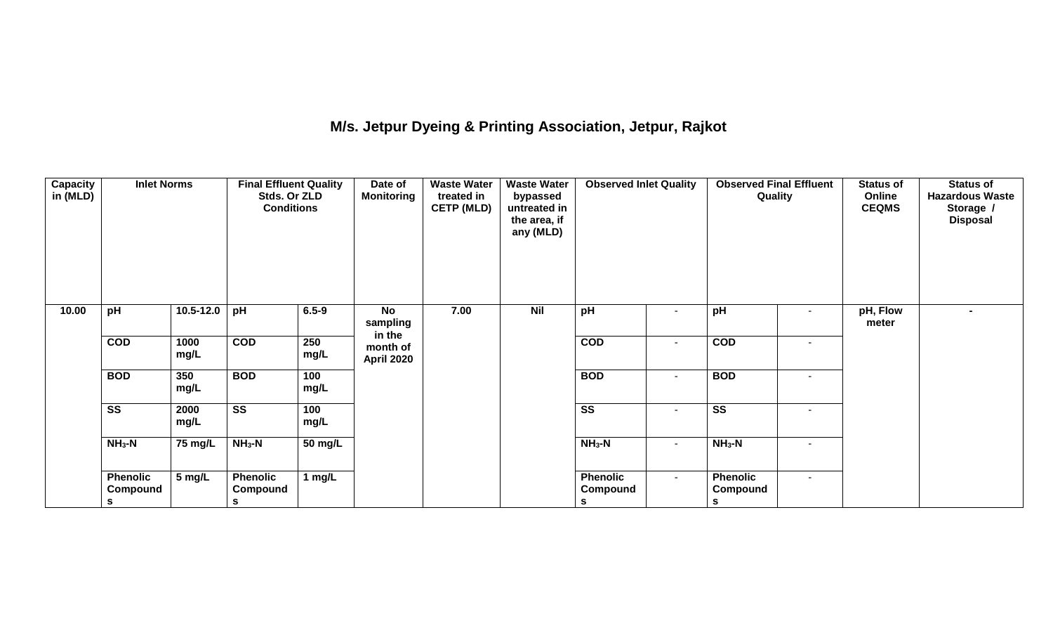# **M/s. Jetpur Dyeing & Printing Association, Jetpur, Rajkot**

| Capacity<br>in (MLD) | <b>Inlet Norms</b>                      |               | <b>Final Effluent Quality</b><br>Stds. Or ZLD<br><b>Conditions</b> |             | <b>Waste Water</b><br>Date of<br><b>Monitoring</b><br>treated in<br><b>CETP (MLD)</b> |      | <b>Waste Water</b><br>bypassed<br>untreated in<br>the area, if<br>any (MLD) | <b>Observed Inlet Quality</b>    |                   | <b>Observed Final Effluent</b><br>Quality |        | <b>Status of</b><br>Online<br><b>CEQMS</b> | <b>Status of</b><br><b>Hazardous Waste</b><br>Storage /<br><b>Disposal</b> |
|----------------------|-----------------------------------------|---------------|--------------------------------------------------------------------|-------------|---------------------------------------------------------------------------------------|------|-----------------------------------------------------------------------------|----------------------------------|-------------------|-------------------------------------------|--------|--------------------------------------------|----------------------------------------------------------------------------|
| 10.00                | pH                                      | $10.5 - 12.0$ | pH                                                                 | $6.5 - 9$   | No<br>sampling<br>in the                                                              | 7.00 | <b>Nil</b>                                                                  | pH                               | $\blacksquare$    | pH                                        | $\sim$ | pH, Flow<br>meter                          |                                                                            |
|                      | $\overline{COD}$                        | 1000<br>mg/L  | $\overline{COD}$                                                   | 250<br>mg/L | month of<br>April 2020                                                                |      |                                                                             | $\overline{COD}$                 | $\blacksquare$    | COD                                       | $\sim$ |                                            |                                                                            |
|                      | <b>BOD</b>                              | 350<br>mg/L   | <b>BOD</b>                                                         | 100<br>mg/L |                                                                                       |      |                                                                             | <b>BOD</b>                       | $\blacksquare$    | <b>BOD</b>                                | $\sim$ |                                            |                                                                            |
|                      | $\overline{\text{ss}}$                  | 2000<br>mg/L  | $\overline{\text{ss}}$                                             | 100<br>mg/L |                                                                                       |      |                                                                             | $\overline{\text{ss}}$           | ٠                 | $\overline{\text{ss}}$                    | $\sim$ |                                            |                                                                            |
|                      | $NH3-N$<br>75 mg/L<br>$NH3-N$           |               | 50 mg/L                                                            |             |                                                                                       |      | $NH3-N$                                                                     | $\sim$                           | $NH3-N$<br>$\sim$ |                                           |        |                                            |                                                                            |
|                      | <b>Phenolic</b><br>Compound<br><b>S</b> | 5 mg/L        | <b>Phenolic</b><br>Compound<br>s                                   | 1 mg/L      |                                                                                       |      |                                                                             | <b>Phenolic</b><br>Compound<br>S | $\sim$            | <b>Phenolic</b><br>Compound<br>S          | $\sim$ |                                            |                                                                            |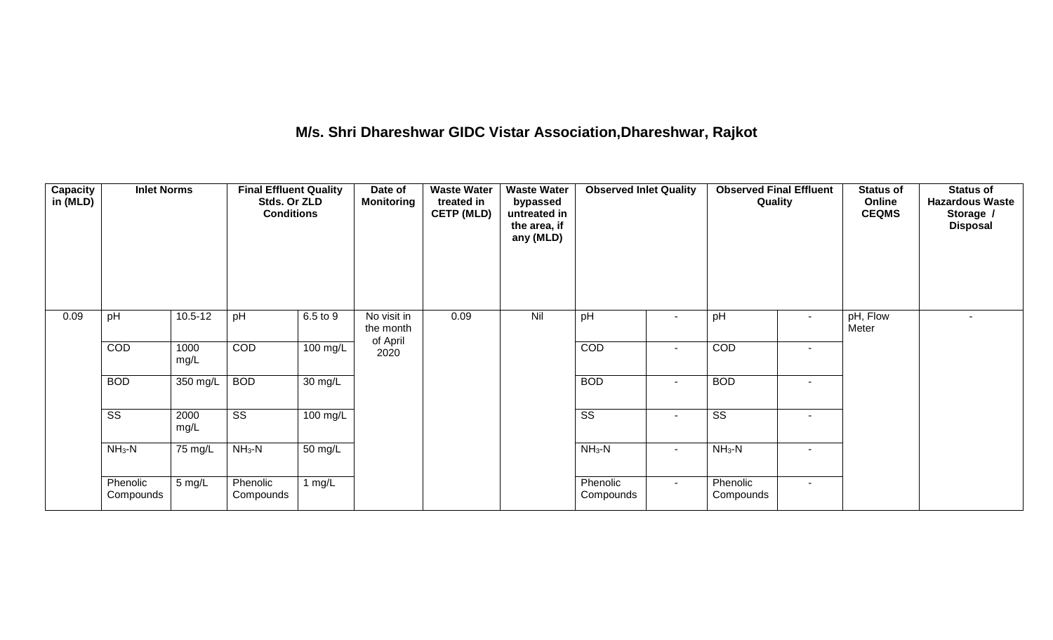# **M/s. Shri Dhareshwar GIDC Vistar Association,Dhareshwar, Rajkot**

| <b>Capacity</b><br>in (MLD) |                        | <b>Inlet Norms</b><br><b>Final Effluent Quality</b><br>Stds. Or ZLD<br><b>Conditions</b> |                        |                      | Date of<br><b>Monitoring</b>         | <b>Waste Water</b><br>treated in<br><b>CETP (MLD)</b> | <b>Waste Water</b><br>bypassed<br>untreated in<br>the area, if<br>any (MLD) | <b>Observed Inlet Quality</b> |        | <b>Observed Final Effluent</b><br>Quality |                          | <b>Status of</b><br>Online<br><b>CEQMS</b> | <b>Status of</b><br><b>Hazardous Waste</b><br>Storage /<br><b>Disposal</b> |
|-----------------------------|------------------------|------------------------------------------------------------------------------------------|------------------------|----------------------|--------------------------------------|-------------------------------------------------------|-----------------------------------------------------------------------------|-------------------------------|--------|-------------------------------------------|--------------------------|--------------------------------------------|----------------------------------------------------------------------------|
| 0.09                        | pH                     | $10.5 - 12$                                                                              | pH                     | 6.5 to 9             | No visit in<br>the month<br>of April | 0.09                                                  | Nil                                                                         | pH                            |        | pH                                        | $\sim$                   | pH, Flow<br>Meter                          | $\sim$                                                                     |
|                             | COD                    | 1000<br>mg/L                                                                             | COD                    | $100$ mg/L           | 2020                                 |                                                       |                                                                             | COD                           |        | COD                                       | $\overline{\phantom{a}}$ |                                            |                                                                            |
|                             | <b>BOD</b>             | 350 mg/L                                                                                 | <b>BOD</b>             | $\overline{30}$ mg/L |                                      |                                                       |                                                                             | <b>BOD</b>                    | $\sim$ | <b>BOD</b>                                | $\sim$                   |                                            |                                                                            |
|                             | $\overline{\text{ss}}$ | 2000<br>mg/L                                                                             | $\overline{\text{ss}}$ | $100$ mg/L           |                                      |                                                       |                                                                             | $\overline{\text{ss}}$        | $\sim$ | $\overline{\text{ss}}$                    | $\sim$                   |                                            |                                                                            |
|                             | $NH3-N$                | 75 mg/L                                                                                  | $NH3-N$                | $50 \text{ mg/L}$    |                                      |                                                       |                                                                             | $NH_3-N$<br>$\sim$            |        | $NH3-N$                                   | $\overline{\phantom{a}}$ |                                            |                                                                            |
|                             | Phenolic<br>Compounds  | Phenolic<br>5 mg/L<br>1 $mg/L$<br>Compounds                                              |                        |                      | Phenolic<br>Compounds                | $\sim$                                                | Phenolic<br>Compounds                                                       | $\sim$                        |        |                                           |                          |                                            |                                                                            |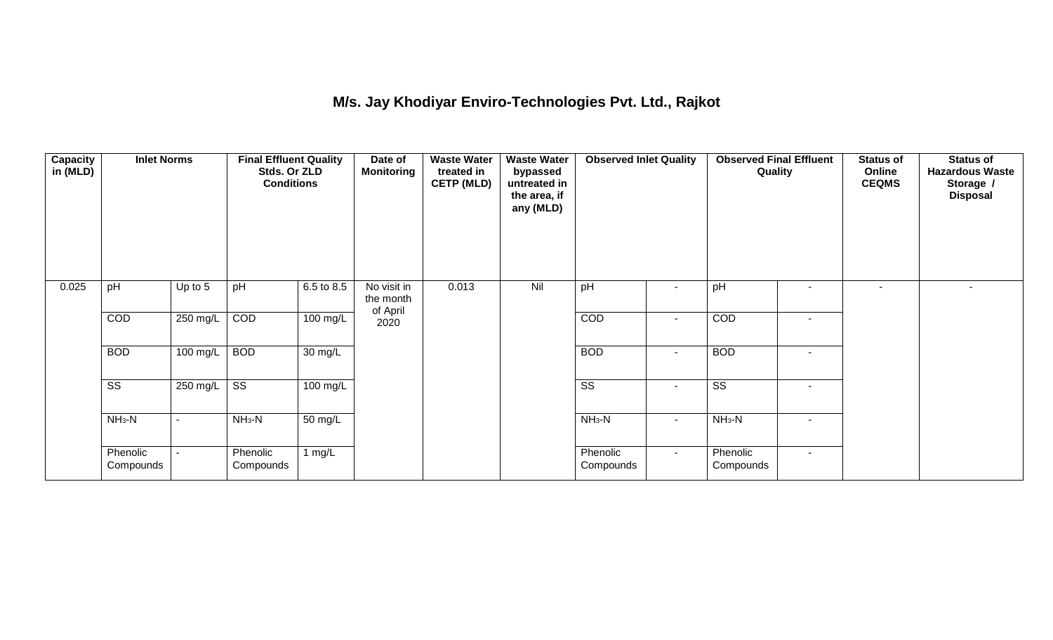## **M/s. Jay Khodiyar Enviro-Technologies Pvt. Ltd., Rajkot**

| Capacity<br>in (MLD) | <b>Inlet Norms</b><br>pH |          | <b>Final Effluent Quality</b><br>Stds. Or ZLD<br><b>Conditions</b> |                    | Date of<br>Monitoring                | <b>Waste Water</b><br>treated in<br><b>CETP (MLD)</b> | <b>Waste Water</b><br>bypassed<br>untreated in<br>the area, if<br>any (MLD) | <b>Observed Inlet Quality</b> |                | <b>Observed Final Effluent</b><br>Quality |                          | <b>Status of</b><br>Online<br><b>CEQMS</b> | <b>Status of</b><br><b>Hazardous Waste</b><br>Storage /<br><b>Disposal</b> |
|----------------------|--------------------------|----------|--------------------------------------------------------------------|--------------------|--------------------------------------|-------------------------------------------------------|-----------------------------------------------------------------------------|-------------------------------|----------------|-------------------------------------------|--------------------------|--------------------------------------------|----------------------------------------------------------------------------|
| 0.025                |                          | Up to 5  | pH                                                                 | 6.5 to 8.5         | No visit in<br>the month<br>of April | 0.013                                                 | Nil                                                                         | pH                            |                | pH                                        | $\overline{\phantom{a}}$ | ۰.                                         |                                                                            |
|                      | COD                      | 250 mg/L | COD                                                                | 100 mg/L           | 2020                                 |                                                       |                                                                             | COD                           | $\blacksquare$ | COD                                       | $\blacksquare$           |                                            |                                                                            |
|                      | <b>BOD</b>               | 100 mg/L | <b>BOD</b>                                                         | 30 mg/L            |                                      |                                                       |                                                                             | <b>BOD</b>                    | $\sim$         | <b>BOD</b>                                | $\blacksquare$           |                                            |                                                                            |
|                      | $\overline{\text{ss}}$   | 250 mg/L | $\overline{\text{ss}}$                                             | $100 \text{ mg/L}$ |                                      |                                                       |                                                                             | $\overline{\text{ss}}$        | $\sim$         | $\overline{\text{ss}}$                    | $\overline{\phantom{a}}$ |                                            |                                                                            |
|                      | $NH3-N$                  |          | $NH3-N$                                                            | 50 mg/L            |                                      |                                                       |                                                                             | $NH_3-N$                      | $\blacksquare$ | $NH3-N$                                   | $\overline{\phantom{a}}$ |                                            |                                                                            |
|                      | Phenolic<br>Compounds    |          | Phenolic<br>Compounds                                              | 1 mg/L             |                                      |                                                       |                                                                             | Phenolic<br>Compounds         | $\sim$         | Phenolic<br>Compounds                     | $\sim$                   |                                            |                                                                            |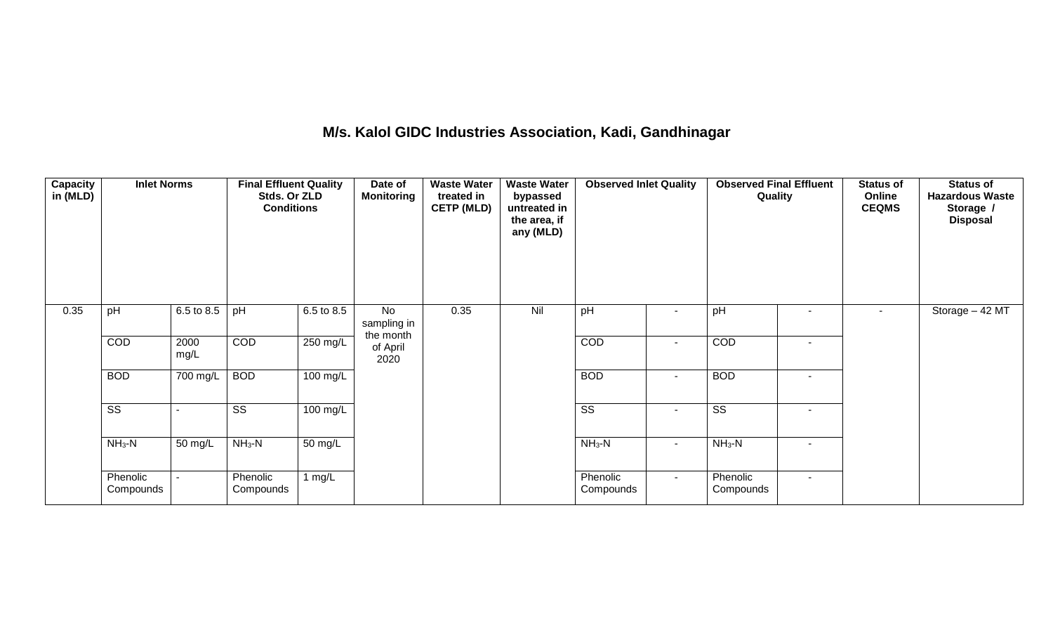### **M/s. Kalol GIDC Industries Association, Kadi, Gandhinagar**

| <b>Capacity</b><br>in (MLD) | <b>Inlet Norms</b><br>pH<br>6.5 to 8.5 |              | <b>Final Effluent Quality</b><br>Stds. Or ZLD<br><b>Conditions</b> |            | Date of<br><b>Monitoring</b>   | <b>Waste Water</b><br>treated in<br><b>CETP (MLD)</b> | <b>Waste Water</b><br>bypassed<br>untreated in<br>the area, if<br>any (MLD) | <b>Observed Inlet Quality</b> |                          | <b>Observed Final Effluent</b><br>Quality |                | <b>Status of</b><br>Online<br><b>CEQMS</b> | <b>Status of</b><br><b>Hazardous Waste</b><br>Storage /<br><b>Disposal</b> |
|-----------------------------|----------------------------------------|--------------|--------------------------------------------------------------------|------------|--------------------------------|-------------------------------------------------------|-----------------------------------------------------------------------------|-------------------------------|--------------------------|-------------------------------------------|----------------|--------------------------------------------|----------------------------------------------------------------------------|
| 0.35                        |                                        |              | pH                                                                 | 6.5 to 8.5 | No<br>sampling in<br>the month | 0.35                                                  | Nil                                                                         | pH                            |                          | pH                                        | $\blacksquare$ |                                            | Storage $-42$ MT                                                           |
|                             | COD                                    | 2000<br>mg/L | COD                                                                | 250 mg/L   | of April<br>2020               |                                                       |                                                                             | COD                           | $\overline{\phantom{a}}$ | COD                                       | $\blacksquare$ |                                            |                                                                            |
|                             | <b>BOD</b>                             | 700 mg/L     | <b>BOD</b>                                                         | 100 mg/L   |                                |                                                       |                                                                             | <b>BOD</b>                    | $\blacksquare$           | <b>BOD</b>                                | $\blacksquare$ |                                            |                                                                            |
|                             | $\overline{\text{ss}}$                 |              | $\overline{\text{ss}}$                                             | 100 mg/L   |                                |                                                       |                                                                             | $\overline{\text{ss}}$        | $\sim$                   | $\overline{\text{ss}}$                    | $\blacksquare$ |                                            |                                                                            |
|                             | $NH_3-N$                               | 50 mg/L      | $NH3-N$<br>50 mg/L                                                 |            |                                |                                                       | $NH_3-N$                                                                    | $\blacksquare$                | $NH_3-N$                 | $\overline{\phantom{a}}$                  |                |                                            |                                                                            |
|                             | Phenolic<br>Compounds                  |              | Phenolic<br>Compounds                                              | 1 mg/L     |                                |                                                       |                                                                             | Phenolic<br>Compounds         | $\sim$                   | Phenolic<br>Compounds                     | $\sim$         |                                            |                                                                            |